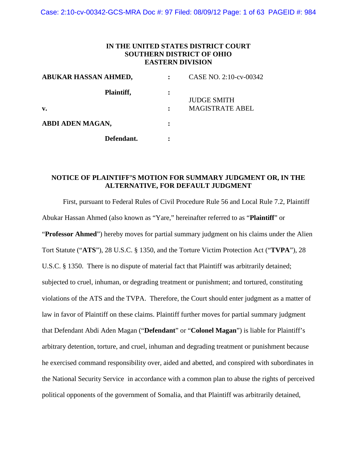Case: 2:10-cv-00342-GCS-MRA Doc #: 97 Filed: 08/09/12 Page: 1 of 63 PAGEID #: 984

### **IN THE UNITED STATES DISTRICT COURT SOUTHERN DISTRICT OF OHIO EASTERN DIVISION**

| ABUKAR HASSAN AHMED, | CASE NO. 2:10-cv-00342 |  |
|----------------------|------------------------|--|
| Plaintiff,           | <b>JUDGE SMITH</b>     |  |
| $\mathbf{v}$ .       | <b>MAGISTRATE ABEL</b> |  |
| ABDI ADEN MAGAN,     |                        |  |
| Defendant.           |                        |  |

# **NOTICE OF PLAINTIFF'S MOTION FOR SUMMARY JUDGMENT OR, IN THE ALTERNATIVE, FOR DEFAULT JUDGMENT**

First, pursuant to Federal Rules of Civil Procedure Rule 56 and Local Rule 7.2, Plaintiff Abukar Hassan Ahmed (also known as "Yare," hereinafter referred to as "**Plaintiff**" or "**Professor Ahmed**") hereby moves for partial summary judgment on his claims under the Alien Tort Statute ("**ATS**"), 28 U.S.C. § 1350, and the Torture Victim Protection Act ("**TVPA**"), 28 U.S.C. § 1350. There is no dispute of material fact that Plaintiff was arbitrarily detained; subjected to cruel, inhuman, or degrading treatment or punishment; and tortured, constituting violations of the ATS and the TVPA. Therefore, the Court should enter judgment as a matter of law in favor of Plaintiff on these claims. Plaintiff further moves for partial summary judgment that Defendant Abdi Aden Magan ("**Defendant**" or "**Colonel Magan**") is liable for Plaintiff's arbitrary detention, torture, and cruel, inhuman and degrading treatment or punishment because he exercised command responsibility over, aided and abetted, and conspired with subordinates in the National Security Service in accordance with a common plan to abuse the rights of perceived political opponents of the government of Somalia, and that Plaintiff was arbitrarily detained,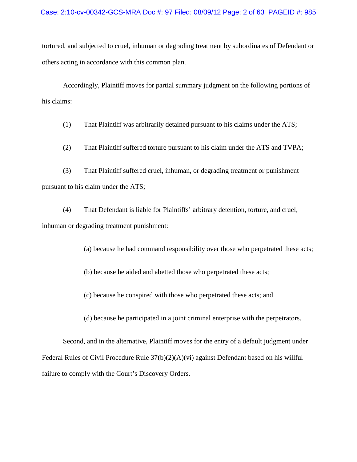#### Case: 2:10-cv-00342-GCS-MRA Doc #: 97 Filed: 08/09/12 Page: 2 of 63 PAGEID #: 985

tortured, and subjected to cruel, inhuman or degrading treatment by subordinates of Defendant or others acting in accordance with this common plan.

Accordingly, Plaintiff moves for partial summary judgment on the following portions of his claims:

(1) That Plaintiff was arbitrarily detained pursuant to his claims under the ATS;

(2) That Plaintiff suffered torture pursuant to his claim under the ATS and TVPA;

(3) That Plaintiff suffered cruel, inhuman, or degrading treatment or punishment pursuant to his claim under the ATS;

(4) That Defendant is liable for Plaintiffs' arbitrary detention, torture, and cruel, inhuman or degrading treatment punishment:

(a) because he had command responsibility over those who perpetrated these acts;

(b) because he aided and abetted those who perpetrated these acts;

(c) because he conspired with those who perpetrated these acts; and

(d) because he participated in a joint criminal enterprise with the perpetrators.

Second, and in the alternative, Plaintiff moves for the entry of a default judgment under Federal Rules of Civil Procedure Rule 37(b)(2)(A)(vi) against Defendant based on his willful failure to comply with the Court's Discovery Orders.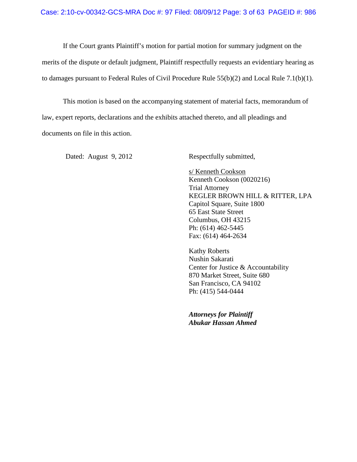If the Court grants Plaintiff's motion for partial motion for summary judgment on the merits of the dispute or default judgment, Plaintiff respectfully requests an evidentiary hearing as to damages pursuant to Federal Rules of Civil Procedure Rule 55(b)(2) and Local Rule 7.1(b)(1).

This motion is based on the accompanying statement of material facts, memorandum of law, expert reports, declarations and the exhibits attached thereto, and all pleadings and documents on file in this action.

Dated: August 9, 2012 Respectfully submitted,

s/ Kenneth Cookson Kenneth Cookson (0020216) Trial Attorney KEGLER BROWN HILL & RITTER, LPA Capitol Square, Suite 1800 65 East State Street Columbus, OH 43215 Ph: (614) 462-5445 Fax: (614) 464-2634

Kathy Roberts Nushin Sakarati Center for Justice & Accountability 870 Market Street, Suite 680 San Francisco, CA 94102 Ph: (415) 544-0444

*Attorneys for Plaintiff Abukar Hassan Ahmed*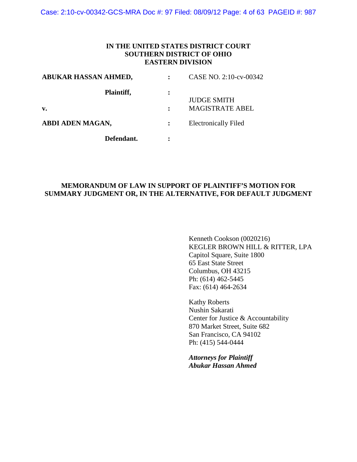Case: 2:10-cv-00342-GCS-MRA Doc #: 97 Filed: 08/09/12 Page: 4 of 63 PAGEID #: 987

### **IN THE UNITED STATES DISTRICT COURT SOUTHERN DISTRICT OF OHIO EASTERN DIVISION**

| ABUKAR HASSAN AHMED, | CASE NO. 2:10-cv-00342      |  |
|----------------------|-----------------------------|--|
| Plaintiff,           |                             |  |
|                      | <b>JUDGE SMITH</b>          |  |
| $\mathbf{v}$ .       | <b>MAGISTRATE ABEL</b>      |  |
| ABDI ADEN MAGAN,     | <b>Electronically Filed</b> |  |
| Defendant.           |                             |  |

# **MEMORANDUM OF LAW IN SUPPORT OF PLAINTIFF'S MOTION FOR SUMMARY JUDGMENT OR, IN THE ALTERNATIVE, FOR DEFAULT JUDGMENT**

Kenneth Cookson (0020216) KEGLER BROWN HILL & RITTER, LPA Capitol Square, Suite 1800 65 East State Street Columbus, OH 43215 Ph: (614) 462-5445 Fax: (614) 464-2634

Kathy Roberts Nushin Sakarati Center for Justice & Accountability 870 Market Street, Suite 682 San Francisco, CA 94102 Ph: (415) 544-0444

*Attorneys for Plaintiff Abukar Hassan Ahmed*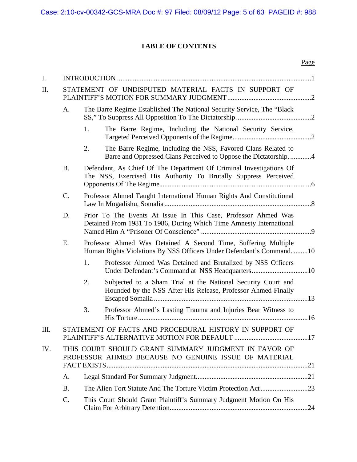# **TABLE OF CONTENTS**

| I.   |                                                      |                                                                                                                                         |
|------|------------------------------------------------------|-----------------------------------------------------------------------------------------------------------------------------------------|
| II.  | STATEMENT OF UNDISPUTED MATERIAL FACTS IN SUPPORT OF |                                                                                                                                         |
|      | A.                                                   | The Barre Regime Established The National Security Service, The "Black                                                                  |
|      |                                                      | The Barre Regime, Including the National Security Service,<br>1.                                                                        |
|      |                                                      | 2.<br>The Barre Regime, Including the NSS, Favored Clans Related to<br>Barre and Oppressed Clans Perceived to Oppose the Dictatorship4  |
|      | <b>B.</b>                                            | Defendant, As Chief Of The Department Of Criminal Investigations Of<br>The NSS, Exercised His Authority To Brutally Suppress Perceived  |
|      | $\mathcal{C}$ .                                      | Professor Ahmed Taught International Human Rights And Constitutional                                                                    |
|      | D.                                                   | Prior To The Events At Issue In This Case, Professor Ahmed Was<br>Detained From 1981 To 1986, During Which Time Amnesty International   |
|      | E.                                                   | Professor Ahmed Was Detained A Second Time, Suffering Multiple<br>Human Rights Violations By NSS Officers Under Defendant's Command. 10 |
|      |                                                      | 1.<br>Professor Ahmed Was Detained and Brutalized by NSS Officers                                                                       |
|      |                                                      | 2.<br>Subjected to a Sham Trial at the National Security Court and<br>Hounded by the NSS After His Release, Professor Ahmed Finally     |
|      |                                                      | 3.<br>Professor Ahmed's Lasting Trauma and Injuries Bear Witness to                                                                     |
| III. |                                                      | STATEMENT OF FACTS AND PROCEDURAL HISTORY IN SUPPORT OF                                                                                 |
| IV.  |                                                      | THIS COURT SHOULD GRANT SUMMARY JUDGMENT IN FAVOR OF<br>PROFESSOR AHMED BECAUSE NO GENUINE ISSUE OF MATERIAL                            |
|      | A.                                                   |                                                                                                                                         |
|      | <b>B.</b>                                            |                                                                                                                                         |
|      | C.                                                   | This Court Should Grant Plaintiff's Summary Judgment Motion On His                                                                      |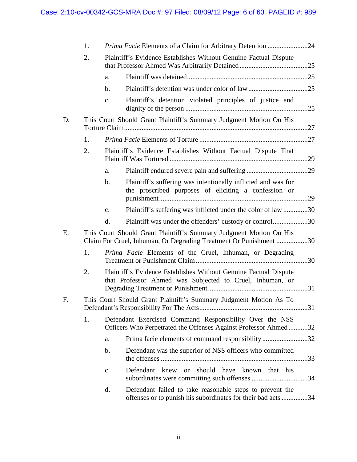|    | 1. |               | <i>Prima Facie</i> Elements of a Claim for Arbitrary Detention 24                                                                       |  |
|----|----|---------------|-----------------------------------------------------------------------------------------------------------------------------------------|--|
|    | 2. |               | Plaintiff's Evidence Establishes Without Genuine Factual Dispute                                                                        |  |
|    |    | a.            |                                                                                                                                         |  |
|    |    | b.            |                                                                                                                                         |  |
|    |    | $C_{\bullet}$ | Plaintiff's detention violated principles of justice and                                                                                |  |
| D. |    |               | This Court Should Grant Plaintiff's Summary Judgment Motion On His                                                                      |  |
|    | 1. |               |                                                                                                                                         |  |
|    | 2. |               | Plaintiff's Evidence Establishes Without Factual Dispute That                                                                           |  |
|    |    | a.            |                                                                                                                                         |  |
|    |    | $\mathbf b$ . | Plaintiff's suffering was intentionally inflicted and was for<br>the proscribed purposes of eliciting a confession or                   |  |
|    |    | $C_{\bullet}$ | Plaintiff's suffering was inflicted under the color of law 30                                                                           |  |
|    |    | d.            | Plaintiff was under the offenders' custody or control30                                                                                 |  |
| E. |    |               | This Court Should Grant Plaintiff's Summary Judgment Motion On His<br>Claim For Cruel, Inhuman, Or Degrading Treatment Or Punishment 30 |  |
|    | 1. |               | Prima Facie Elements of the Cruel, Inhuman, or Degrading                                                                                |  |
|    | 2. |               | Plaintiff's Evidence Establishes Without Genuine Factual Dispute<br>that Professor Ahmed was Subjected to Cruel, Inhuman, or            |  |
| F. |    |               | This Court Should Grant Plaintiff's Summary Judgment Motion As To                                                                       |  |
|    | 1. |               | Defendant Exercised Command Responsibility Over the NSS<br>Officers Who Perpetrated the Offenses Against Professor Ahmed32              |  |
|    |    | a.            | Prima facie elements of command responsibility32                                                                                        |  |
|    |    | $\mathbf b$ . | Defendant was the superior of NSS officers who committed                                                                                |  |
|    |    | c.            | Defendant knew or should have known that his                                                                                            |  |
|    |    | d.            | Defendant failed to take reasonable steps to prevent the<br>offenses or to punish his subordinates for their bad acts 34                |  |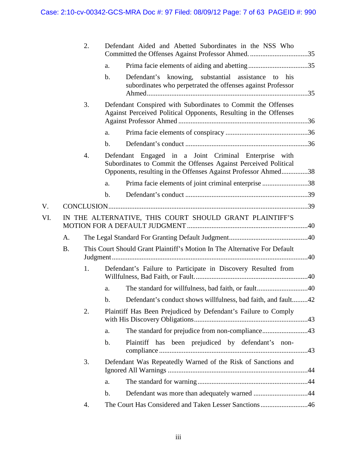|     |           | 2. |                | Defendant Aided and Abetted Subordinates in the NSS Who                                                                                                                                    |  |
|-----|-----------|----|----------------|--------------------------------------------------------------------------------------------------------------------------------------------------------------------------------------------|--|
|     |           |    | a.             |                                                                                                                                                                                            |  |
|     |           |    | $\mathbf{b}$ . | Defendant's knowing, substantial assistance to his<br>subordinates who perpetrated the offenses against Professor                                                                          |  |
|     |           | 3. |                | Defendant Conspired with Subordinates to Commit the Offenses<br>Against Perceived Political Opponents, Resulting in the Offenses                                                           |  |
|     |           |    | a.             |                                                                                                                                                                                            |  |
|     |           |    | $\mathbf{b}$ . |                                                                                                                                                                                            |  |
|     |           | 4. |                | Defendant Engaged in a Joint Criminal Enterprise with<br>Subordinates to Commit the Offenses Against Perceived Political<br>Opponents, resulting in the Offenses Against Professor Ahmed38 |  |
|     |           |    | a.             | Prima facie elements of joint criminal enterprise 38                                                                                                                                       |  |
|     |           |    | $\mathbf{b}$ . |                                                                                                                                                                                            |  |
| V.  |           |    |                |                                                                                                                                                                                            |  |
| VI. |           |    |                | IN THE ALTERNATIVE, THIS COURT SHOULD GRANT PLAINTIFF'S                                                                                                                                    |  |
|     | A.        |    |                |                                                                                                                                                                                            |  |
|     | <b>B.</b> |    |                | This Court Should Grant Plaintiff's Motion In The Alternative For Default                                                                                                                  |  |
|     |           | 1. |                | Defendant's Failure to Participate in Discovery Resulted from                                                                                                                              |  |
|     |           |    | a.             |                                                                                                                                                                                            |  |
|     |           |    | b.             | Defendant's conduct shows willfulness, bad faith, and fault42                                                                                                                              |  |
|     |           | 2. |                | Plaintiff Has Been Prejudiced by Defendant's Failure to Comply                                                                                                                             |  |
|     |           |    | a.             | The standard for prejudice from non-compliance43                                                                                                                                           |  |
|     |           |    | $\mathbf b$ .  | Plaintiff has been prejudiced by defendant's non-                                                                                                                                          |  |
|     |           | 3. |                | Defendant Was Repeatedly Warned of the Risk of Sanctions and                                                                                                                               |  |
|     |           |    |                |                                                                                                                                                                                            |  |
|     |           |    | a.             |                                                                                                                                                                                            |  |
|     |           |    | $\mathbf b$ .  |                                                                                                                                                                                            |  |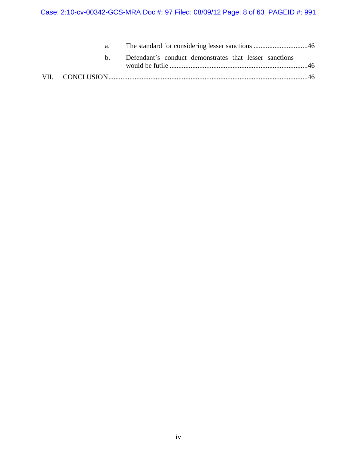# Case: 2:10-cv-00342-GCS-MRA Doc #: 97 Filed: 08/09/12 Page: 8 of 63 PAGEID #: 991

| a.  |                                                        |  |
|-----|--------------------------------------------------------|--|
| h — | Defendant's conduct demonstrates that lesser sanctions |  |
|     |                                                        |  |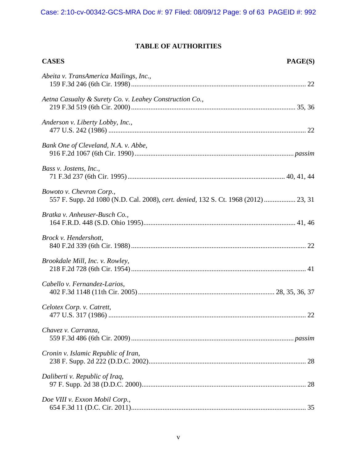# **TABLE OF AUTHORITIES**

| <b>CASES</b>                                                                                                    | PAGE(S) |
|-----------------------------------------------------------------------------------------------------------------|---------|
| Abeita v. TransAmerica Mailings, Inc.,                                                                          |         |
| Aetna Casualty & Surety Co. v. Leahey Construction Co.,                                                         |         |
| Anderson v. Liberty Lobby, Inc.,                                                                                |         |
| Bank One of Cleveland, N.A. v. Abbe,                                                                            |         |
| Bass v. Jostens, Inc.,                                                                                          |         |
| Bowoto v. Chevron Corp.,<br>557 F. Supp. 2d 1080 (N.D. Cal. 2008), cert. denied, 132 S. Ct. 1968 (2012)  23, 31 |         |
| Bratka v. Anheuser-Busch Co.,                                                                                   |         |
| Brock v. Hendershott,                                                                                           |         |
| Brookdale Mill, Inc. v. Rowley,                                                                                 |         |
| Cabello v. Fernandez-Larios,                                                                                    |         |
| Celotex Corp. v. Catrett,                                                                                       |         |
| Chavez v. Carranza,                                                                                             |         |
| Cronin v. Islamic Republic of Iran,                                                                             |         |
| Daliberti v. Republic of Iraq,                                                                                  | 28      |
| Doe VIII v. Exxon Mobil Corp.,                                                                                  |         |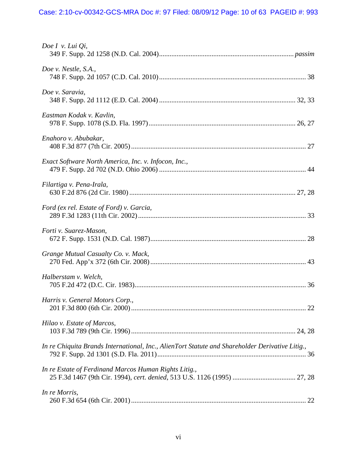| Doe I v. Lui $Qi$ ,                                                                             |
|-------------------------------------------------------------------------------------------------|
| Doe v. Nestle, S.A.,                                                                            |
| Doe v. Saravia,                                                                                 |
| Eastman Kodak v. Kavlin,                                                                        |
| Enahoro v. Abubakar,                                                                            |
| Exact Software North America, Inc. v. Infocon, Inc.,                                            |
| Filartiga v. Pena-Irala,                                                                        |
| Ford (ex rel. Estate of Ford) v. Garcia,                                                        |
| Forti v. Suarez-Mason,                                                                          |
| Grange Mutual Casualty Co. v. Mack,                                                             |
| Halberstam v. Welch,                                                                            |
| Harris v. General Motors Corp.,                                                                 |
| Hilao v. Estate of Marcos,                                                                      |
| In re Chiquita Brands International, Inc., AlienTort Statute and Shareholder Derivative Litig., |
| In re Estate of Ferdinand Marcos Human Rights Litig.,                                           |
| In re Morris,                                                                                   |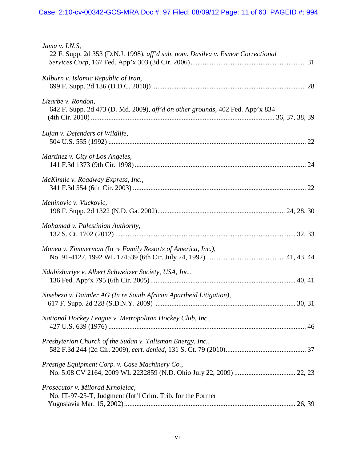| Jama v. I.N.S,<br>22 F. Supp. 2d 353 (D.N.J. 1998), aff'd sub. nom. Dasilva v. Esmor Correctional   |
|-----------------------------------------------------------------------------------------------------|
| Kilburn v. Islamic Republic of Iran,                                                                |
| Lizarbe v. Rondon,<br>642 F. Supp. 2d 473 (D. Md. 2009), aff'd on other grounds, 402 Fed. App'x 834 |
| Lujan v. Defenders of Wildlife,                                                                     |
| Martinez v. City of Los Angeles,                                                                    |
| McKinnie v. Roadway Express, Inc.,                                                                  |
| Mehinovic v. Vuckovic,                                                                              |
| Mohamad v. Palestinian Authority,                                                                   |
| Monea v. Zimmerman (In re Family Resorts of America, Inc.),                                         |
| Ndabishuriye v. Albert Schweitzer Society, USA, Inc.,                                               |
| Ntsebeza v. Daimler AG (In re South African Apartheid Litigation),<br>30, 31                        |
| National Hockey League v. Metropolitan Hockey Club, Inc.,                                           |
| Presbyterian Church of the Sudan v. Talisman Energy, Inc.,                                          |
| Prestige Equipment Corp. v. Case Machinery Co.,                                                     |
| Prosecutor v. Milorad Krnojelac,<br>No. IT-97-25-T, Judgment (Int'l Crim. Trib. for the Former      |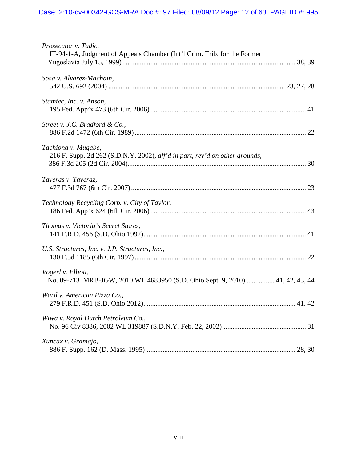| Prosecutor v. Tadic,<br>IT-94-1-A, Judgment of Appeals Chamber (Int'l Crim. Trib. for the Former    |
|-----------------------------------------------------------------------------------------------------|
|                                                                                                     |
| Sosa v. Alvarez-Machain,                                                                            |
| Stamtec, Inc. v. Anson,                                                                             |
| Street v. J.C. Bradford & Co.,                                                                      |
| Tachiona v. Mugabe,<br>216 F. Supp. 2d 262 (S.D.N.Y. 2002), aff'd in part, rev'd on other grounds,  |
| Taveras v. Taveraz,                                                                                 |
| Technology Recycling Corp. v. City of Taylor,                                                       |
| Thomas v. Victoria's Secret Stores,                                                                 |
| U.S. Structures, Inc. v. J.P. Structures, Inc.,                                                     |
| Vogerl v. Elliott,<br>No. 09-713-MRB-JGW, 2010 WL 4683950 (S.D. Ohio Sept. 9, 2010)  41, 42, 43, 44 |
| Ward v. American Pizza Co.,                                                                         |
| Wiwa v. Royal Dutch Petroleum Co.,                                                                  |
| Xuncax v. Gramajo,                                                                                  |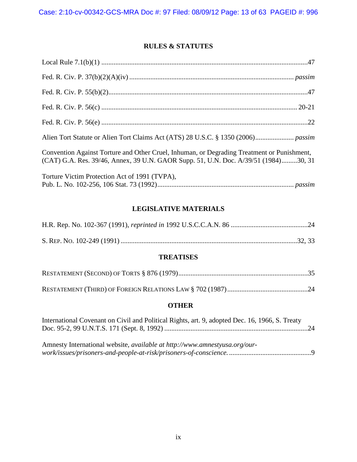# **RULES & STATUTES**

| Convention Against Torture and Other Cruel, Inhuman, or Degrading Treatment or Punishment,<br>(CAT) G.A. Res. 39/46, Annex, 39 U.N. GAOR Supp. 51, U.N. Doc. A/39/51 (1984)30, 31 |
|-----------------------------------------------------------------------------------------------------------------------------------------------------------------------------------|
| Torture Victim Protection Act of 1991 (TVPA),                                                                                                                                     |

# **LEGISLATIVE MATERIALS**

# **TREATISES**

# **OTHER**

| International Covenant on Civil and Political Rights, art. 9, adopted Dec. 16, 1966, S. Treaty |  |
|------------------------------------------------------------------------------------------------|--|
|                                                                                                |  |
|                                                                                                |  |
| Amnesty International website, <i>available at http://www.amnestyusa.org/our-</i>              |  |
|                                                                                                |  |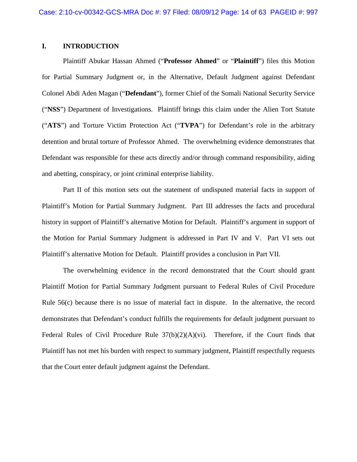### **I. INTRODUCTION**

Plaintiff Abukar Hassan Ahmed ("**Professor Ahmed**" or "**Plaintiff**") files this Motion for Partial Summary Judgment or, in the Alternative, Default Judgment against Defendant Colonel Abdi Aden Magan ("**Defendant**"), former Chief of the Somali National Security Service ("**NSS**") Department of Investigations. Plaintiff brings this claim under the Alien Tort Statute ("**ATS**") and Torture Victim Protection Act ("**TVPA**") for Defendant's role in the arbitrary detention and brutal torture of Professor Ahmed. The overwhelming evidence demonstrates that Defendant was responsible for these acts directly and/or through command responsibility, aiding and abetting, conspiracy, or joint criminal enterprise liability.

Part II of this motion sets out the statement of undisputed material facts in support of Plaintiff's Motion for Partial Summary Judgment. Part III addresses the facts and procedural history in support of Plaintiff's alternative Motion for Default. Plaintiff's argument in support of the Motion for Partial Summary Judgment is addressed in Part IV and V. Part VI sets out Plaintiff's alternative Motion for Default. Plaintiff provides a conclusion in Part VII.

The overwhelming evidence in the record demonstrated that the Court should grant Plaintiff Motion for Partial Summary Judgment pursuant to Federal Rules of Civil Procedure Rule 56(c) because there is no issue of material fact in dispute. In the alternative, the record demonstrates that Defendant's conduct fulfills the requirements for default judgment pursuant to Federal Rules of Civil Procedure Rule 37(b)(2)(A)(vi). Therefore, if the Court finds that Plaintiff has not met his burden with respect to summary judgment, Plaintiff respectfully requests that the Court enter default judgment against the Defendant.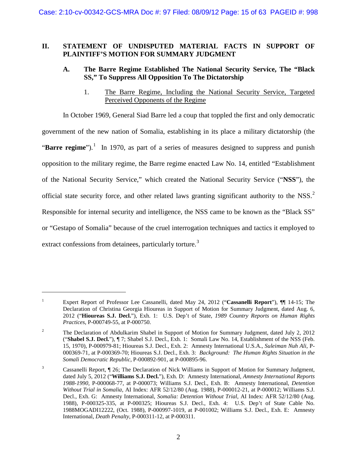# **II. STATEMENT OF UNDISPUTED MATERIAL FACTS IN SUPPORT OF PLAINTIFF'S MOTION FOR SUMMARY JUDGMENT**

# **A. The Barre Regime Established The National Security Service, The "Black SS," To Suppress All Opposition To The Dictatorship**

1. The Barre Regime, Including the National Security Service, Targeted Perceived Opponents of the Regime

In October 1969, General Siad Barre led a coup that toppled the first and only democratic government of the new nation of Somalia, establishing in its place a military dictatorship (the "Barre regime").<sup>[1](#page-14-0)</sup> In 1970, as part of a series of measures designed to suppress and punish opposition to the military regime, the Barre regime enacted Law No. 14, entitled "Establishment of the National Security Service," which created the National Security Service ("**NSS**"), the official state security force, and other related laws granting significant authority to the NSS. $2$ Responsible for internal security and intelligence, the NSS came to be known as the "Black SS" or "Gestapo of Somalia" because of the cruel interrogation techniques and tactics it employed to extract confessions from detainees, particularly torture.<sup>[3](#page-14-2)</sup>

<span id="page-14-0"></span><sup>1</sup> Expert Report of Professor Lee Cassanelli, dated May 24, 2012 ("**Cassanelli Report**"), ¶¶ 14-15; The Declaration of Christina Georgia Hioureas in Support of Motion for Summary Judgment, dated Aug. 6, 2012 ("**Hioureas S.J. Decl.**"), Exh. 1: U.S. Dep't of State, *1989 Country Reports on Human Rights Practices*, P-000749-55, at P-000750.

<span id="page-14-1"></span><sup>&</sup>lt;sup>2</sup> The Declaration of Abdulkarim Shabel in Support of Motion for Summary Judgment, dated July 2, 2012 ("**Shabel S.J. Decl.**"), ¶ 7; Shabel S.J. Decl., Exh. 1: Somali Law No. 14, Establishment of the NSS (Feb. 15, 1970), P-000979-81; Hioureas S.J. Decl., Exh. 2: Amnesty International U.S.A., *Suleiman Nuh Ali*, P-000369-71, at P-000369-70; Hioureas S.J. Decl., Exh. 3: *Background: The Human Rights Situation in the Somali Democratic Republic*, P-000892-901, at P-000895-96.

<span id="page-14-2"></span><sup>&</sup>lt;sup>3</sup> Cassanelli Report, ¶ 26; The Declaration of Nick Williams in Support of Motion for Summary Judgment, dated July 5, 2012 ("**Williams S.J. Decl.**"), Exh. D: Amnesty International, *Amnesty International Reports 1988-1990,* P-000068-77, at P-000073; Williams S.J. Decl., Exh. B: Amnesty International, *Detention Without Trial in Somalia,* AI Index: AFR 52/12/80 (Aug. 1988), P-000012-21, at P-000012; Williams S.J. Decl., Exh. G: Amnesty International, *Somalia: Detention Without Trial,* AI Index: AFR 52/12/80 (Aug. 1988), P-000325-335, at P-000325; Hioureas S.J. Decl., Exh. 4: U.S. Dep't of State Cable No. 1988MOGADI12222, (Oct. 1988), P-000997-1019, at P-001002; Williams S.J. Decl., Exh. E: Amnesty International, *Death Penalty*, P-000311-12, at P-000311.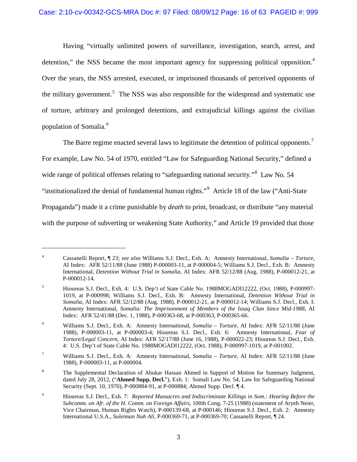Having "virtually unlimited powers of surveillance, investigation, search, arrest, and detention," the NSS became the most important agency for suppressing political opposition.<sup>[4](#page-15-0)</sup> Over the years, the NSS arrested, executed, or imprisoned thousands of perceived opponents of the military government.<sup>[5](#page-15-1)</sup> The NSS was also responsible for the widespread and systematic use of torture, arbitrary and prolonged detentions, and extrajudicial killings against the civilian population of Somalia.<sup>[6](#page-15-2)</sup>

The Barre regime enacted several laws to legitimate the detention of political opponents.<sup>[7](#page-15-3)</sup> For example, Law No. 54 of 1970, entitled "Law for Safeguarding National Security," defined a wide range of political offenses relating to "safeguarding national security."<sup>[8](#page-15-4)</sup> Law No. 54 "institutionalized the denial of fundamental human rights."[9](#page-15-5) Article 18 of the law ("Anti-State Propaganda") made it a crime punishable by *death* to print, broadcast, or distribute "any material with the purpose of subverting or weakening State Authority," and Article 19 provided that those

<span id="page-15-0"></span><sup>4</sup> Cassanelli Report, ¶ 23; *see also* Williams S.J. Decl., Exh. A: Amnesty International, *Somalia – Torture,*  AI Index: AFR 52/11/88 (June 1988) P-000003-11, at P-000004-5; Williams S.J. Decl., Exh. B: Amnesty International, *Detention Without Trial in Somalia,* AI Index: AFR 52/12/88 (Aug. 1988), P-000012-21, at P-000012-14.

<span id="page-15-1"></span><sup>5</sup> Hioureas S.J. Decl., Exh. 4: U.S. Dep't of State Cable No. 1988MOGADI12222, (Oct. 1988), P-000997- 1019, at P-000998; Williams S.J. Decl., Exh. B: Amnesty International, *Detention Without Trial in Somalia,* AI Index: AFR 52/12/88 (Aug. 1988), P-000012-21, at P-000012-14; Williams S.J. Decl., Exh. I: Amnesty International, *Somalia: The Imprisonment of Members of the Issaq Clan Since Mid-1988*, AI Index: AFR 52/41/88 (Dec. 1, 1988), P-000363-68, at P-000363, P-000365-66.

<span id="page-15-2"></span><sup>6</sup> Williams S.J. Decl., Exh. A: Amnesty International, *Somalia – Torture,* AI Index: AFR 52/11/88 (June 1988), P-000003-11, at P-000003-4; Hioureas S.J. Decl., Exh. 6: Amnesty International, *Fear of Torture/Legal Concern,* AI Index: AFR 52/17/88 (June 16, 1988), P-000022-23; Hioureas S.J. Decl., Exh. 4: U.S. Dep't of State Cable No. 1988MOGADI12222, (Oct. 1988), P-000997-1019, at P-001002.

<span id="page-15-3"></span><sup>7</sup> Williams S.J. Decl., Exh. A: Amnesty International, *Somalia – Torture,* AI Index: AFR 52/11/88 (June 1988), P-000003-11, at P-000004.

<span id="page-15-4"></span><sup>&</sup>lt;sup>8</sup> The Supplemental Declaration of Abukar Hassan Ahmed in Support of Motion for Summary Judgment, dated July 28, 2012, ("**Ahmed Supp. Decl.**"), Exh. 1: Somali Law No. 54, Law for Safeguarding National Security (Sept. 10, 1970), P-000884-91, at P-000884; Ahmed Supp. Decl. ¶ 4.

<span id="page-15-5"></span><sup>9</sup> Hioureas S.J. Decl., Exh. 7: *Reported Massacres and Indiscriminate Killings in Som.: Hearing Before the Subcomm. on Afr. of the H. Comm. on Foreign Affairs*, 100th Cong. 7-25 (1988) (statement of Aryeh Neier, Vice Chairman, Human Rights Watch), P-000139-68, at P-000146; Hioureas S.J. Decl., Exh. 2: Amnesty International U.S.A., *Suleiman Nuh Ali*, P-000369-71, at P-000369-70; Cassanelli Report, ¶ 24.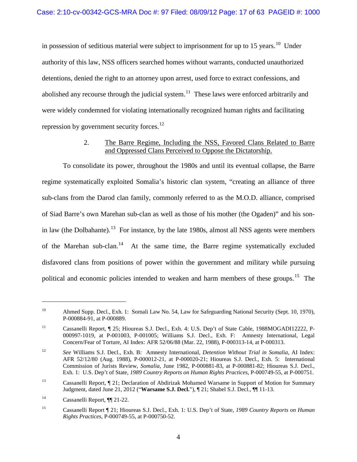in possession of seditious material were subject to imprisonment for up to 15 years.<sup>[10](#page-16-0)</sup> Under authority of this law, NSS officers searched homes without warrants, conducted unauthorized detentions, denied the right to an attorney upon arrest, used force to extract confessions, and abolished any recourse through the judicial system.<sup>11</sup> These laws were enforced arbitrarily and were widely condemned for violating internationally recognized human rights and facilitating repression by government security forces.<sup>12</sup>

# 2. The Barre Regime, Including the NSS, Favored Clans Related to Barre and Oppressed Clans Perceived to Oppose the Dictatorship.

To consolidate its power, throughout the 1980s and until its eventual collapse, the Barre regime systematically exploited Somalia's historic clan system, "creating an alliance of three sub-clans from the Darod clan family, commonly referred to as the M.O.D. alliance, comprised of Siad Barre's own Marehan sub-clan as well as those of his mother (the Ogaden)" and his son-in law (the Dolbahante).<sup>[13](#page-16-3)</sup> For instance, by the late 1980s, almost all NSS agents were members of the Marehan sub-clan.<sup>14</sup> At the same time, the Barre regime systematically excluded disfavored clans from positions of power within the government and military while pursuing political and economic policies intended to weaken and harm members of these groups.<sup>[15](#page-16-5)</sup> The

<span id="page-16-0"></span><sup>&</sup>lt;sup>10</sup> Ahmed Supp. Decl., Exh. 1: Somali Law No. 54, Law for Safeguarding National Security (Sept. 10, 1970), P-000884-91, at P-000889.

<span id="page-16-1"></span><sup>&</sup>lt;sup>11</sup> Cassanelli Report, ¶ 25; Hioureas S.J. Decl., Exh. 4: U.S. Dep't of State Cable, 1988MOGADI12222, P-000997-1019, at P-001003, P-001005; Williams S.J. Decl., Exh. F: Amnesty International, Legal Concern/Fear of Torture, AI Index: AFR 52/06/88 (Mar. 22, 1988), P-000313-14, at P-000313.

<span id="page-16-2"></span><sup>12</sup> *See* Williams S.J. Decl., Exh. B: Amnesty International, *Detention Without Trial in Somalia*, AI Index: AFR 52/12/80 (Aug. 1988), P-000012-21, at P-000020-21; Hioureas S.J. Decl., Exh. 5: International Commission of Jurists Review, *Somalia*, June 1982, P-000881-83, at P-000881-82; Hioureas S.J. Decl., Exh. 1: U.S. Dep't of State, *1989 Country Reports on Human Rights Practices*, P-000749-55, at P-000751.

<span id="page-16-3"></span><sup>13</sup> Cassanelli Report, ¶ 21; Declaration of Abdirizak Mohamed Warsame in Support of Motion for Summary Judgment, dated June 21, 2012 ("**Warsame S.J. Decl.**"), ¶ 21; Shabel S.J. Decl., ¶¶ 11-13.

<span id="page-16-4"></span><sup>14</sup> Cassanelli Report, ¶¶ 21-22.

<span id="page-16-5"></span><sup>15</sup> Cassanelli Report ¶ 21; Hioureas S.J. Decl., Exh. 1: U.S. Dep't of State, *1989 Country Reports on Human Rights Practices*, P-000749-55, at P-000750-52.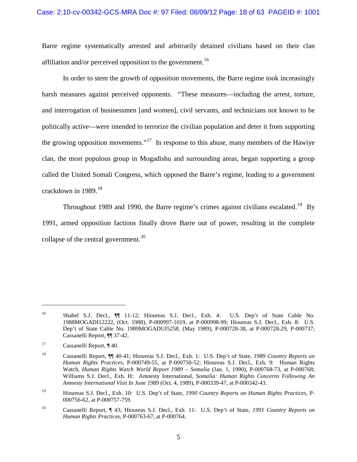#### Case: 2:10-cv-00342-GCS-MRA Doc #: 97 Filed: 08/09/12 Page: 18 of 63 PAGEID #: 1001

Barre regime systematically arrested and arbitrarily detained civilians based on their clan affiliation and/or perceived opposition to the government.<sup>[16](#page-17-0)</sup>

In order to stem the growth of opposition movements, the Barre regime took increasingly harsh measures against perceived opponents. "These measures—including the arrest, torture, and interrogation of businessmen [and women], civil servants, and technicians not known to be politically active—were intended to terrorize the civilian population and deter it from supporting the growing opposition movements."<sup>[17](#page-17-1)</sup> In response to this abuse, many members of the Hawiye clan, the most populous group in Mogadishu and surrounding areas, began supporting a group called the United Somali Congress, which opposed the Barre's regime, leading to a government crackdown in 1989.<sup>18</sup>

Throughout [19](#page-17-3)89 and 1990, the Barre regime's crimes against civilians escalated.<sup>19</sup> By 1991, armed opposition factions finally drove Barre out of power, resulting in the complete collapse of the central government. $^{20}$ 

<span id="page-17-0"></span><sup>&</sup>lt;sup>16</sup> Shabel S.J. Decl., **[11-12**; Hioureas S.J. Decl., Exh. 4: U.S. Dep't of State Cable No. 1988MOGADI12222, (Oct. 1988), P-000997-1019, at P-000998-99; Hioureas S.J. Decl., Exh. 8: U.S. Dep't of State Cable No. 1989MOGADUI5258, (May 1989), P-000728-38, at P-000728-29, P-000737; Cassanelli Report, ¶¶ 37-42.

<span id="page-17-1"></span><sup>&</sup>lt;sup>17</sup> Cassanelli Report, ¶ 40.

<span id="page-17-2"></span><sup>18</sup> Cassanelli Report, ¶¶ 40-41; Hioureas S.J. Decl., Exh. 1: U.S. Dep't of State, *1989 Country Reports on Human Rights Practices*, P-000749-55, at P-000750-52; Hioureas S.J. Decl., Exh. 9: Human Rights Watch, *Human Rights Watch World Report 1989 – Somalia* (Jan. 1, 1990), P-000768-73, at P-000768; Williams S.J. Decl., Exh. H: Amnesty International, *Somalia: Human Rights Concerns Following An Amnesty International Visit In June 1989* (Oct. 4, 1989), P-000339-47, at P-000342-43.

<span id="page-17-3"></span><sup>19</sup> Hioureas S.J. Decl., Exh. 10: U.S. Dep't of State, *1990 Country Reports on Human Rights Practices*, P-000756-62, at P-000757-759.

<span id="page-17-4"></span><sup>20</sup> Cassanelli Report, ¶ 43; Hioureas S.J. Decl., Exh. 11: U.S. Dep't of State, *1991 Country Reports on Human Rights Practices*, P-000763-67, at P-000764.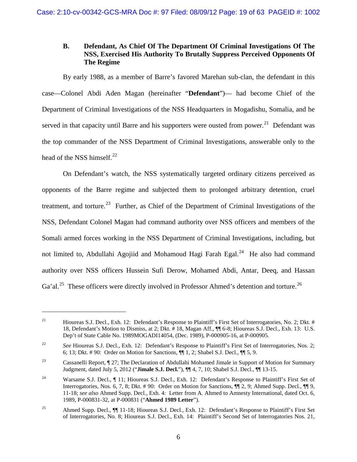# **B. Defendant, As Chief Of The Department Of Criminal Investigations Of The NSS, Exercised His Authority To Brutally Suppress Perceived Opponents Of The Regime**

By early 1988, as a member of Barre's favored Marehan sub-clan, the defendant in this case—Colonel Abdi Aden Magan (hereinafter "**Defendant**")— had become Chief of the Department of Criminal Investigations of the NSS Headquarters in Mogadishu, Somalia, and he served in that capacity until Barre and his supporters were ousted from power.<sup>[21](#page-18-0)</sup> Defendant was the top commander of the NSS Department of Criminal Investigations, answerable only to the head of the NSS himself.<sup>[22](#page-18-1)</sup>

On Defendant's watch, the NSS systematically targeted ordinary citizens perceived as opponents of the Barre regime and subjected them to prolonged arbitrary detention, cruel treatment, and torture.<sup>23</sup> Further, as Chief of the Department of Criminal Investigations of the NSS, Defendant Colonel Magan had command authority over NSS officers and members of the Somali armed forces working in the NSS Department of Criminal Investigations, including, but not limited to, Abdullahi Agojiid and Mohamoud Hagi Farah Egal.<sup>[24](#page-18-3)</sup> He also had command authority over NSS officers Hussein Sufi Derow, Mohamed Abdi, Antar, Deeq, and Hassan Ga'al.<sup>[25](#page-18-4)</sup> These officers were directly involved in Professor Ahmed's detention and torture.<sup>26</sup>

<span id="page-18-5"></span><span id="page-18-0"></span><sup>&</sup>lt;sup>21</sup> Hioureas S.J. Decl., Exh. 12: Defendant's Response to Plaintiff's First Set of Interrogatories, No. 2; Dkt. # 18, Defendant's Motion to Dismiss, at 2; Dkt. # 18, Magan Aff., ¶¶ 6-8; Hioureas S.J. Decl., Exh. 13: U.S. Dep't of State Cable No. 1989MOGADI14054, (Dec. 1989), P-000905-16, at P-000905.

<span id="page-18-1"></span><sup>&</sup>lt;sup>22</sup> *See* Hioureas S.J. Decl., Exh. 12: Defendant's Response to Plaintiff's First Set of Interrogatories, Nos. 2; 6; 13; Dkt. # 90: Order on Motion for Sanctions, ¶¶ 1, 2; Shabel S.J. Decl., ¶¶ 5, 9.

<span id="page-18-2"></span><sup>&</sup>lt;sup>23</sup> Cassanelli Report,  $\P$  27; The Declaration of Abdullahi Mohamed Jimale in Support of Motion for Summary Judgment, dated July 5, 2012 ("**Jimale S.J. Decl.**"), ¶¶ 4, 7, 10; Shabel S.J. Decl., ¶¶ 13-15.

<span id="page-18-3"></span><sup>&</sup>lt;sup>24</sup> Warsame S.J. Decl., ¶ 11; Hioureas S.J. Decl., Exh. 12: Defendant's Response to Plaintiff's First Set of Interrogatories, Nos. 6, 7, 8; Dkt. # 90: Order on Motion for Sanctions, ¶¶ 2, 9; Ahmed Supp. Decl., ¶¶ 9, 11-18; *see also* Ahmed Supp. Decl., Exh. 4: Letter from A. Ahmed to Amnesty International, dated Oct. 6, 1989, P-000831-32, at P-000831 ("**Ahmed 1989 Letter**").

<span id="page-18-4"></span><sup>&</sup>lt;sup>25</sup> Ahmed Supp. Decl., ¶¶ 11-18; Hioureas S.J. Decl., Exh. 12: Defendant's Response to Plaintiff's First Set of Interrogatories, No. 8; Hioureas S.J. Decl., Exh. 14: Plaintiff's Second Set of Interrogatories Nos. 21,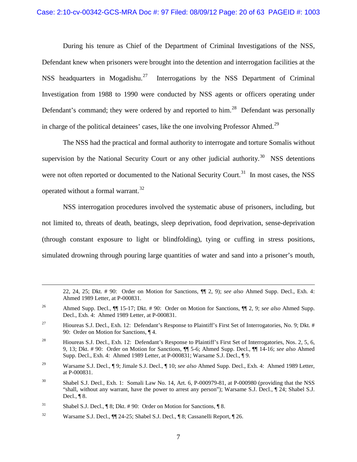During his tenure as Chief of the Department of Criminal Investigations of the NSS, Defendant knew when prisoners were brought into the detention and interrogation facilities at the NSS headquarters in Mogadishu.<sup>[27](#page-19-0)</sup> Interrogations by the NSS Department of Criminal Investigation from 1988 to 1990 were conducted by NSS agents or officers operating under Defendant's command; they were ordered by and reported to him.<sup>28</sup> Defendant was personally in charge of the political detainees' cases, like the one involving Professor Ahmed.<sup>29</sup>

The NSS had the practical and formal authority to interrogate and torture Somalis without supervision by the National Security Court or any other judicial authority.<sup>[30](#page-19-3)</sup> NSS detentions were not often reported or documented to the National Security Court.<sup>31</sup> In most cases, the NSS operated without a formal warrant.<sup>32</sup>

NSS interrogation procedures involved the systematic abuse of prisoners, including, but not limited to, threats of death, beatings, sleep deprivation, food deprivation, sense-deprivation (through constant exposure to light or blindfolding), tying or cuffing in stress positions, simulated drowning through pouring large quantities of water and sand into a prisoner's mouth,

<sup>22, 24, 25;</sup> Dkt. # 90: Order on Motion for Sanctions, ¶¶ 2, 9); *see also* Ahmed Supp. Decl., Exh. 4: Ahmed 1989 Letter, at P-000831.

<sup>26</sup> Ahmed Supp. Decl., ¶¶ 15-17; Dkt. # 90: Order on Motion for Sanctions, ¶¶ 2, 9; *see also* Ahmed Supp. Decl., Exh. 4: Ahmed 1989 Letter, at P-000831.

<span id="page-19-0"></span><sup>&</sup>lt;sup>27</sup> Hioureas S.J. Decl., Exh. 12: Defendant's Response to Plaintiff's First Set of Interrogatories, No. 9; Dkt. # 90: Order on Motion for Sanctions, ¶ 4.

<span id="page-19-1"></span><sup>&</sup>lt;sup>28</sup> Hioureas S.J. Decl., Exh. 12: Defendant's Response to Plaintiff's First Set of Interrogatories, Nos. 2, 5, 6, 9, 13; Dkt. # 90: Order on Motion for Sanctions, ¶¶ 5-6; Ahmed Supp. Decl., ¶¶ 14-16; *see also* Ahmed Supp. Decl., Exh. 4: Ahmed 1989 Letter, at P-000831; Warsame S.J. Decl., ¶ 9.

<span id="page-19-2"></span><sup>29</sup> Warsame S.J. Decl., ¶ 9; Jimale S.J. Decl., ¶ 10; *see also* Ahmed Supp. Decl., Exh. 4: Ahmed 1989 Letter, at P-000831.

<span id="page-19-3"></span><sup>&</sup>lt;sup>30</sup> Shabel S.J. Decl., Exh. 1: Somali Law No. 14, Art. 6, P-000979-81, at P-000980 (providing that the NSS "shall, without any warrant, have the power to arrest any person"); Warsame S.J. Decl., ¶ 24; Shabel S.J. Decl., ¶ 8.

<span id="page-19-4"></span><sup>&</sup>lt;sup>31</sup> Shabel S.J. Decl., ¶ 8; Dkt. # 90: Order on Motion for Sanctions, ¶ 8.

<span id="page-19-5"></span><sup>&</sup>lt;sup>32</sup> Warsame S.J. Decl.,  $\P$  24-25; Shabel S.J. Decl.,  $\P$  8; Cassanelli Report,  $\P$  26.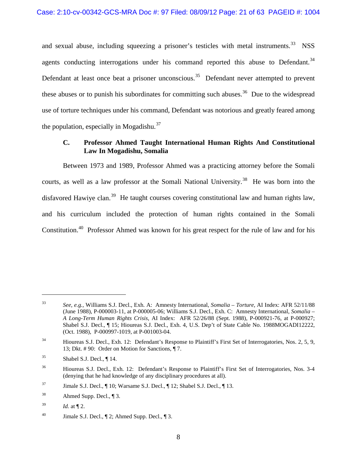and sexual abuse, including squeezing a prisoner's testicles with metal instruments.<sup>33</sup> NSS agents conducting interrogations under his command reported this abuse to Defendant.<sup>[34](#page-20-1)</sup> Defendant at least once beat a prisoner unconscious.<sup>[35](#page-20-2)</sup> Defendant never attempted to prevent these abuses or to punish his subordinates for committing such abuses.<sup>[36](#page-20-3)</sup> Due to the widespread use of torture techniques under his command, Defendant was notorious and greatly feared among the population, especially in Mogadishu. $37$ 

### **C. Professor Ahmed Taught International Human Rights And Constitutional Law In Mogadishu, Somalia**

Between 1973 and 1989, Professor Ahmed was a practicing attorney before the Somali courts, as well as a law professor at the Somali National University.<sup>[38](#page-20-5)</sup> He was born into the disfavored Hawiye clan.<sup>[39](#page-20-6)</sup> He taught courses covering constitutional law and human rights law, and his curriculum included the protection of human rights contained in the Somali Constitution.[40](#page-20-7) Professor Ahmed was known for his great respect for the rule of law and for his

<span id="page-20-0"></span><sup>33</sup> *See, e.g.,* Williams S.J. Decl., Exh. A: Amnesty International, *Somalia – Torture,* AI Index: AFR 52/11/88 (June 1988), P-000003-11, at P-000005-06; Williams S.J. Decl., Exh. C: Amnesty International, *Somalia – A Long-Term Human Rights Crisis,* AI Index: AFR 52/26/88 (Sept. 1988), P-000921-76, at P-000927; Shabel S.J. Decl., ¶ 15; Hioureas S.J. Decl., Exh. 4, U.S. Dep't of State Cable No. 1988MOGADI12222, (Oct. 1988), P-000997-1019, at P-001003-04.

<span id="page-20-1"></span><sup>&</sup>lt;sup>34</sup> Hioureas S.J. Decl., Exh. 12: Defendant's Response to Plaintiff's First Set of Interrogatories, Nos. 2, 5, 9, 13; Dkt. # 90: Order on Motion for Sanctions, ¶ 7.

<span id="page-20-2"></span> $35$  Shabel S.J. Decl.,  $\P$  14.

<span id="page-20-3"></span><sup>&</sup>lt;sup>36</sup> Hioureas S.J. Decl., Exh. 12: Defendant's Response to Plaintiff's First Set of Interrogatories, Nos. 3-4 (denying that he had knowledge of any disciplinary procedures at all).

<span id="page-20-4"></span><sup>&</sup>lt;sup>37</sup> Jimale S.J. Decl.,  $\parallel$  10; Warsame S.J. Decl.,  $\parallel$  12; Shabel S.J. Decl.,  $\parallel$  13.

<span id="page-20-5"></span> $38$  Ahmed Supp. Decl.,  $\P$ 3.

<span id="page-20-6"></span> $1^{39}$  *Id.* at  $\P$  2.

<span id="page-20-7"></span><sup>&</sup>lt;sup>40</sup> Jimale S.J. Decl.,  $\P$  2; Ahmed Supp. Decl.,  $\P$  3.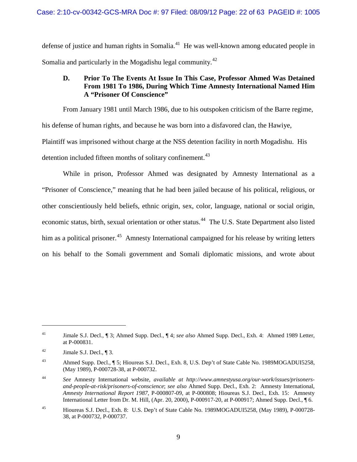defense of justice and human rights in Somalia.<sup>[41](#page-21-0)</sup> He was well-known among educated people in Somalia and particularly in the Mogadishu legal community.<sup>42</sup>

# **D. Prior To The Events At Issue In This Case, Professor Ahmed Was Detained From 1981 To 1986, During Which Time Amnesty International Named Him A "Prisoner Of Conscience"**

From January 1981 until March 1986, due to his outspoken criticism of the Barre regime, his defense of human rights, and because he was born into a disfavored clan, the Hawiye, Plaintiff was imprisoned without charge at the NSS detention facility in north Mogadishu. His detention included fifteen months of solitary confinement.<sup>[43](#page-21-2)</sup>

While in prison, Professor Ahmed was designated by Amnesty International as a "Prisoner of Conscience," meaning that he had been jailed because of his political, religious, or other conscientiously held beliefs, ethnic origin, sex, color, language, national or social origin, economic status, birth, sexual orientation or other status.<sup>44</sup> The U.S. State Department also listed him as a political prisoner.<sup>45</sup> Amnesty International campaigned for his release by writing letters on his behalf to the Somali government and Somali diplomatic missions, and wrote about

<span id="page-21-0"></span><sup>41</sup> Jimale S.J. Decl., ¶ 3; Ahmed Supp. Decl., ¶ 4; *see also* Ahmed Supp. Decl., Exh. 4: Ahmed 1989 Letter, at P-000831.

<span id="page-21-1"></span> $^{42}$  Jimale S.J. Decl., ¶ 3.

<span id="page-21-2"></span><sup>43</sup> Ahmed Supp. Decl., ¶ 5; Hioureas S.J. Decl., Exh. 8, U.S. Dep't of State Cable No. 1989MOGADUI5258, (May 1989), P-000728-38, at P-000732.

<span id="page-21-3"></span><sup>44</sup> *See* Amnesty International website, *available at http://www.amnestyusa.org/our-work/issues/prisonersand-people-at-risk/prisoners-of-conscience*; *see also* Ahmed Supp. Decl., Exh. 2: Amnesty International, *Amnesty International Report 1987*, P-000807-09, at P-000808; Hioureas S.J. Decl., Exh. 15: Amnesty International Letter from Dr. M. Hill, (Apr. 20, 2000), P-000917-20, at P-000917; Ahmed Supp. Decl., ¶ 6.

<span id="page-21-4"></span><sup>45</sup> Hioureas S.J. Decl., Exh. 8: U.S. Dep't of State Cable No. 1989MOGADUI5258, (May 1989), P-000728- 38, at P-000732, P-000737.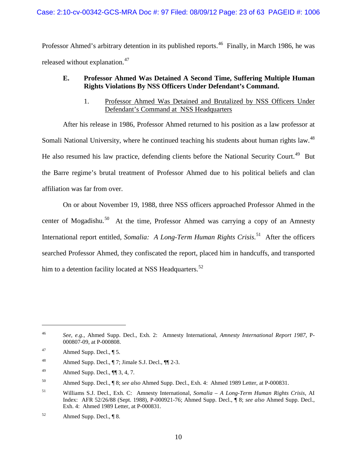### Case: 2:10-cv-00342-GCS-MRA Doc #: 97 Filed: 08/09/12 Page: 23 of 63 PAGEID #: 1006

Professor Ahmed's arbitrary detention in its published reports.<sup>46</sup> Finally, in March 1986, he was released without explanation.<sup>47</sup>

# **E. Professor Ahmed Was Detained A Second Time, Suffering Multiple Human Rights Violations By NSS Officers Under Defendant's Command.**

1. Professor Ahmed Was Detained and Brutalized by NSS Officers Under Defendant's Command at NSS Headquarters

After his release in 1986, Professor Ahmed returned to his position as a law professor at Somali National University, where he continued teaching his students about human rights law.<sup>[48](#page-22-2)</sup> He also resumed his law practice, defending clients before the National Security Court.<sup>[49](#page-22-3)</sup> But the Barre regime's brutal treatment of Professor Ahmed due to his political beliefs and clan affiliation was far from over.

On or about November 19, 1988, three NSS officers approached Professor Ahmed in the center of Mogadishu.<sup>50</sup> At the time, Professor Ahmed was carrying a copy of an Amnesty International report entitled, *Somalia: A Long-Term Human Rights Crisis*. [51](#page-22-5) After the officers searched Professor Ahmed, they confiscated the report, placed him in handcuffs, and transported him to a detention facility located at NSS Headquarters.<sup>52</sup>

 $\overline{a}$ 

<span id="page-22-3"></span>49 Ahmed Supp. Decl.,  $\P$  3, 4, 7.

<span id="page-22-0"></span><sup>46</sup> *See, e.g.,* Ahmed Supp. Decl., Exh. 2: Amnesty International, *Amnesty International Report 1987*, P-000807-09, at P-000808.

<span id="page-22-1"></span><sup>47</sup> Ahmed Supp. Decl., ¶ 5.

<span id="page-22-2"></span><sup>48</sup> Ahmed Supp. Decl.,  $\P$  7; Jimale S.J. Decl.,  $\P$  $\P$  2-3.

<span id="page-22-4"></span><sup>50</sup> Ahmed Supp. Decl., ¶ 8; *see also* Ahmed Supp. Decl., Exh. 4: Ahmed 1989 Letter, at P-000831.

<span id="page-22-5"></span><sup>51</sup> Williams S.J. Decl., Exh. C: Amnesty International, *Somalia – A Long-Term Human Rights Crisis,* AI Index: AFR 52/26/88 (Sept. 1988), P-000921-76; Ahmed Supp. Decl., ¶ 8; *see also* Ahmed Supp. Decl., Exh. 4: Ahmed 1989 Letter, at P-000831.

<span id="page-22-6"></span><sup>52</sup> Ahmed Supp. Decl., ¶ 8.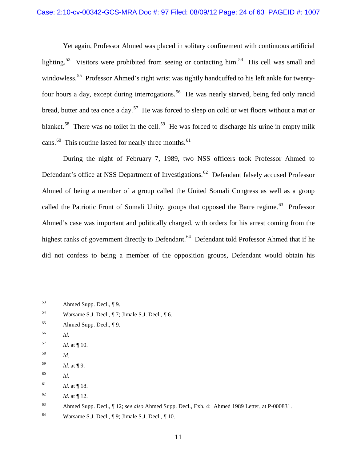Yet again, Professor Ahmed was placed in solitary confinement with continuous artificial lighting.<sup>53</sup> Visitors were prohibited from seeing or contacting him.<sup>[54](#page-23-1)</sup> His cell was small and windowless.<sup>[55](#page-23-2)</sup> Professor Ahmed's right wrist was tightly handcuffed to his left ankle for twentyfour hours a day, except during interrogations.<sup>56</sup> He was nearly starved, being fed only rancid bread, butter and tea once a day.<sup>[57](#page-23-4)</sup> He was forced to sleep on cold or wet floors without a mat or blanket.<sup>[58](#page-23-5)</sup> There was no toilet in the cell.<sup>[59](#page-23-6)</sup> He was forced to discharge his urine in empty milk cans.<sup>[60](#page-23-7)</sup> This routine lasted for nearly three months.<sup>[61](#page-23-8)</sup>

During the night of February 7, 1989, two NSS officers took Professor Ahmed to Defendant's office at NSS Department of Investigations.<sup>62</sup> Defendant falsely accused Professor Ahmed of being a member of a group called the United Somali Congress as well as a group called the Patriotic Front of Somali Unity, groups that opposed the Barre regime.<sup>[63](#page-23-10)</sup> Professor Ahmed's case was important and politically charged, with orders for his arrest coming from the highest ranks of government directly to Defendant.<sup>64</sup> Defendant told Professor Ahmed that if he did not confess to being a member of the opposition groups, Defendant would obtain his

<span id="page-23-3"></span><sup>56</sup> *Id.* 

 $\overline{a}$ 

<span id="page-23-5"></span><sup>58</sup> *Id*.

<span id="page-23-7"></span><sup>60</sup> *Id.*

<span id="page-23-9"></span> $16^2$  *Id.* at ¶ 12.

<span id="page-23-0"></span><sup>53</sup> Ahmed Supp. Decl., ¶ 9.

<span id="page-23-1"></span><sup>54</sup> Warsame S.J. Decl., ¶ 7; Jimale S.J. Decl., ¶ 6.

<span id="page-23-2"></span><sup>55</sup> Ahmed Supp. Decl., ¶ 9.

<span id="page-23-4"></span><sup>57</sup> *Id.* at ¶ 10.

<span id="page-23-6"></span><sup>59</sup> *Id.* at ¶ 9.

<span id="page-23-8"></span> $161$  *Id.* at ¶ 18.

<span id="page-23-10"></span><sup>63</sup> Ahmed Supp. Decl., ¶ 12; *see also* Ahmed Supp. Decl., Exh. 4: Ahmed 1989 Letter, at P-000831.

<span id="page-23-11"></span><sup>64</sup> Warsame S.J. Decl., ¶ 9; Jimale S.J. Decl., ¶ 10.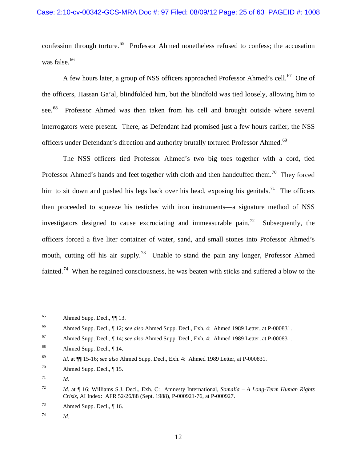confession through torture.<sup>[65](#page-24-0)</sup> Professor Ahmed nonetheless refused to confess; the accusation was false.<sup>[66](#page-24-1)</sup>

A few hours later, a group of NSS officers approached Professor Ahmed's cell.<sup>[67](#page-24-2)</sup> One of the officers, Hassan Ga'al, blindfolded him, but the blindfold was tied loosely, allowing him to see.<sup>[68](#page-24-3)</sup> Professor Ahmed was then taken from his cell and brought outside where several interrogators were present. There, as Defendant had promised just a few hours earlier, the NSS officers under Defendant's direction and authority brutally tortured Professor Ahmed.<sup>69</sup>

The NSS officers tied Professor Ahmed's two big toes together with a cord, tied Professor Ahmed's hands and feet together with cloth and then handcuffed them.<sup>70</sup> They forced him to sit down and pushed his legs back over his head, exposing his genitals.<sup>[71](#page-24-6)</sup> The officers then proceeded to squeeze his testicles with iron instruments—a signature method of NSS investigators designed to cause excruciating and immeasurable pain.<sup>72</sup> Subsequently, the officers forced a five liter container of water, sand, and small stones into Professor Ahmed's mouth, cutting off his air supply.<sup>[73](#page-24-8)</sup> Unable to stand the pain any longer, Professor Ahmed fainted.<sup>[74](#page-24-9)</sup> When he regained consciousness, he was beaten with sticks and suffered a blow to the

<span id="page-24-0"></span><sup>65</sup> Ahmed Supp. Decl., ¶¶ 13.

<span id="page-24-1"></span><sup>66</sup> Ahmed Supp. Decl., ¶ 12; *see also* Ahmed Supp. Decl., Exh. 4: Ahmed 1989 Letter, at P-000831.

<span id="page-24-2"></span><sup>67</sup> Ahmed Supp. Decl., ¶ 14; *see also* Ahmed Supp. Decl., Exh. 4: Ahmed 1989 Letter, at P-000831.

<span id="page-24-3"></span><sup>68</sup> Ahmed Supp. Decl., ¶ 14.

<span id="page-24-4"></span><sup>69</sup> *Id.* at ¶¶ 15-16; *see also* Ahmed Supp. Decl., Exh. 4: Ahmed 1989 Letter, at P-000831.

<span id="page-24-5"></span><sup>&</sup>lt;sup>70</sup> Ahmed Supp. Decl.,  $\P$  15.

<span id="page-24-6"></span> $^{71}$  *Id.* 

<span id="page-24-7"></span><sup>72</sup> *Id.* at ¶ 16; Williams S.J. Decl., Exh. C: Amnesty International, *Somalia – A Long-Term Human Rights Crisis,* AI Index: AFR 52/26/88 (Sept. 1988), P-000921-76, at P-000927.

<span id="page-24-8"></span><sup>73</sup> Ahmed Supp. Decl., ¶ 16.

<span id="page-24-9"></span><sup>74</sup> *Id.*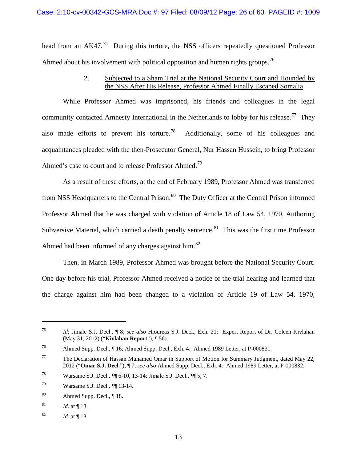head from an  $AK47<sup>75</sup>$  During this torture, the NSS officers repeatedly questioned Professor Ahmed about his involvement with political opposition and human rights groups.<sup>76</sup>

# 2. Subjected to a Sham Trial at the National Security Court and Hounded by the NSS After His Release, Professor Ahmed Finally Escaped Somalia

While Professor Ahmed was imprisoned, his friends and colleagues in the legal community contacted Amnesty International in the Netherlands to lobby for his release.<sup>[77](#page-25-2)</sup> They also made efforts to prevent his torture.<sup>[78](#page-25-3)</sup> Additionally, some of his colleagues and acquaintances pleaded with the then-Prosecutor General, Nur Hassan Hussein, to bring Professor Ahmed's case to court and to release Professor Ahmed.<sup>79</sup>

As a result of these efforts, at the end of February 1989, Professor Ahmed was transferred from NSS Headquarters to the Central Prison.<sup>80</sup> The Duty Officer at the Central Prison informed Professor Ahmed that he was charged with violation of Article 18 of Law 54, 1970, Authoring Subversive Material, which carried a death penalty sentence.<sup>[81](#page-25-6)</sup> This was the first time Professor Ahmed had been informed of any charges against him. $82$ 

Then, in March 1989, Professor Ahmed was brought before the National Security Court. One day before his trial, Professor Ahmed received a notice of the trial hearing and learned that the charge against him had been changed to a violation of Article 19 of Law 54, 1970,

<span id="page-25-0"></span><sup>75</sup> *Id*; Jimale S.J. Decl., ¶ 8; *see also* Hioureas S.J. Decl., Exh. 21: Expert Report of Dr. Coleen Kivlahan (May 31, 2012) ("**Kivlahan Report**"), ¶ 56).

<span id="page-25-1"></span><sup>76</sup> Ahmed Supp. Decl., ¶ 16; Ahmed Supp. Decl., Exh. 4: Ahmed 1989 Letter, at P-000831.

<span id="page-25-2"></span><sup>&</sup>lt;sup>77</sup> The Declaration of Hassan Muhamed Omar in Support of Motion for Summary Judgment, dated May 22, 2012 ("**Omar S.J. Decl.**"), ¶ 7; *see also* Ahmed Supp. Decl., Exh. 4: Ahmed 1989 Letter, at P-000832.

<span id="page-25-3"></span><sup>78</sup> Warsame S.J. Decl., ¶¶ 6-10, 13-14; Jimale S.J. Decl., ¶¶ 5, 7.

<span id="page-25-4"></span><sup>79</sup> Warsame S.J. Decl., ¶¶ 13-14.

<span id="page-25-5"></span><sup>80</sup> Ahmed Supp. Decl., ¶ 18.

<span id="page-25-6"></span> $18.$  *Id.* at 18.

<span id="page-25-7"></span><sup>82</sup> *Id.* at ¶ 18.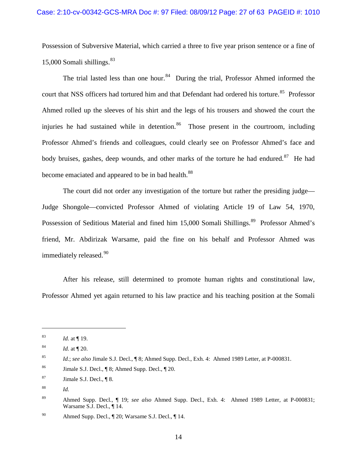Possession of Subversive Material, which carried a three to five year prison sentence or a fine of 15,000 Somali shillings. $83$ 

The trial lasted less than one hour.<sup>[84](#page-26-1)</sup> During the trial, Professor Ahmed informed the court that NSS officers had tortured him and that Defendant had ordered his torture.<sup>[85](#page-26-2)</sup> Professor Ahmed rolled up the sleeves of his shirt and the legs of his trousers and showed the court the injuries he had sustained while in detention.<sup>86</sup> Those present in the courtroom, including Professor Ahmed's friends and colleagues, could clearly see on Professor Ahmed's face and body bruises, gashes, deep wounds, and other marks of the torture he had endured.<sup>[87](#page-26-4)</sup> He had become emaciated and appeared to be in bad health.<sup>88</sup>

The court did not order any investigation of the torture but rather the presiding judge— Judge Shongole—convicted Professor Ahmed of violating Article 19 of Law 54, 1970, Possession of Seditious Material and fined him 15,000 Somali Shillings.<sup>[89](#page-26-6)</sup> Professor Ahmed's friend, Mr. Abdirizak Warsame, paid the fine on his behalf and Professor Ahmed was immediately released.<sup>[90](#page-26-7)</sup>

After his release, still determined to promote human rights and constitutional law, Professor Ahmed yet again returned to his law practice and his teaching position at the Somali

<span id="page-26-0"></span><sup>83</sup> *Id.* at ¶ 19.

<span id="page-26-1"></span><sup>84</sup> *Id.* at ¶ 20.

<span id="page-26-2"></span><sup>85</sup> *Id.*; *see also* Jimale S.J. Decl., ¶ 8; Ahmed Supp. Decl., Exh. 4: Ahmed 1989 Letter, at P-000831.

<span id="page-26-3"></span><sup>86</sup> Jimale S.J. Decl., ¶ 8; Ahmed Supp. Decl., ¶ 20.

<span id="page-26-4"></span> $87$  Jimale S.J. Decl.,  $\P$ 8.

<span id="page-26-5"></span><sup>88</sup> *Id.* 

<span id="page-26-6"></span><sup>89</sup> Ahmed Supp. Decl., ¶ 19; *see also* Ahmed Supp. Decl., Exh. 4: Ahmed 1989 Letter, at P-000831; Warsame S.J. Decl., ¶ 14.

<span id="page-26-7"></span><sup>90</sup> Ahmed Supp. Decl., ¶ 20; Warsame S.J. Decl., ¶ 14.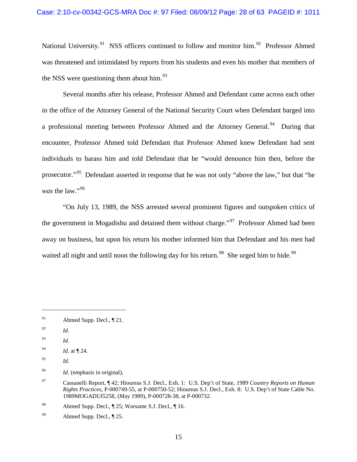National University.<sup>91</sup> NSS officers continued to follow and monitor him.<sup>92</sup> Professor Ahmed was threatened and intimidated by reports from his students and even his mother that members of the NSS were questioning them about him. $^{93}$  $^{93}$  $^{93}$ 

Several months after his release, Professor Ahmed and Defendant came across each other in the office of the Attorney General of the National Security Court when Defendant barged into a professional meeting between Professor Ahmed and the Attorney General.<sup>[94](#page-27-3)</sup> During that encounter, Professor Ahmed told Defendant that Professor Ahmed knew Defendant had sent individuals to harass him and told Defendant that he "would denounce him then, before the prosecutor."[95](#page-27-4) Defendant asserted in response that he was not only "above the law," but that "he was the law."<sup>96</sup>

"On July 13, 1989, the NSS arrested several prominent figures and outspoken critics of the government in Mogadishu and detained them without charge."<sup>[97](#page-27-6)</sup> Professor Ahmed had been away on business, but upon his return his mother informed him that Defendant and his men had waited all night and until noon the following day for his return.<sup>[98](#page-27-7)</sup> She urged him to hide.<sup>[99](#page-27-8)</sup>

<span id="page-27-0"></span><sup>&</sup>lt;sup>91</sup> Ahmed Supp. Decl.,  $\P$  21.

<span id="page-27-1"></span><sup>92</sup> *Id.* 

<span id="page-27-2"></span><sup>93</sup> *Id.* 

<span id="page-27-3"></span><sup>94</sup> *Id.* at ¶ 24.

<span id="page-27-4"></span><sup>95</sup> *Id.*

<span id="page-27-5"></span><sup>96</sup> *Id.* (emphasis in original).

<span id="page-27-6"></span><sup>97</sup> Cassanelli Report, ¶ 42; Hioureas S.J. Decl., Exh. 1: U.S. Dep't of State, *1989 Country Reports on Human Rights Practices*, P-000749-55, at P-000750-52; Hioureas S.J. Decl., Exh. 8: U.S. Dep't of State Cable No. 1989MOGADUI5258, (May 1989), P-000728-38, at P-000732.

<span id="page-27-7"></span><sup>98</sup> Ahmed Supp. Decl., ¶ 25; Warsame S.J. Decl., ¶ 16.

<span id="page-27-8"></span><sup>&</sup>lt;sup>99</sup> Ahmed Supp. Decl.,  $\P$  25.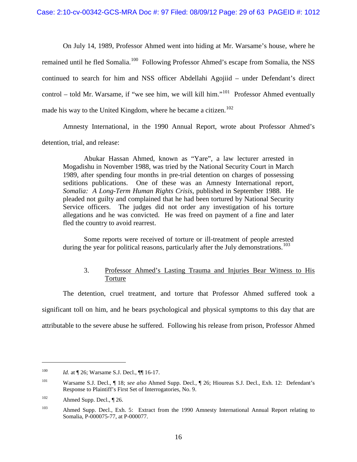On July 14, 1989, Professor Ahmed went into hiding at Mr. Warsame's house, where he remained until he fled Somalia.<sup>[100](#page-28-0)</sup> Following Professor Ahmed's escape from Somalia, the NSS continued to search for him and NSS officer Abdellahi Agojiid – under Defendant's direct control – told Mr. Warsame, if "we see him, we will kill him."<sup>[101](#page-28-1)</sup> Professor Ahmed eventually made his way to the United Kingdom, where he became a citizen.<sup>[102](#page-28-2)</sup>

Amnesty International, in the 1990 Annual Report, wrote about Professor Ahmed's detention, trial, and release:

Abukar Hassan Ahmed, known as "Yare", a law lecturer arrested in Mogadishu in November 1988, was tried by the National Security Court in March 1989, after spending four months in pre-trial detention on charges of possessing seditions publications. One of these was an Amnesty International report, *Somalia: A Long-Term Human Rights Crisis*, published in September 1988. He pleaded not guilty and complained that he had been tortured by National Security Service officers. The judges did not order any investigation of his torture allegations and he was convicted. He was freed on payment of a fine and later fled the country to avoid rearrest.

Some reports were received of torture or ill-treatment of people arrested during the year for political reasons, particularly after the July demonstrations.<sup>[103](#page-28-3)</sup>

# 3. Professor Ahmed's Lasting Trauma and Injuries Bear Witness to His Torture

The detention, cruel treatment, and torture that Professor Ahmed suffered took a significant toll on him, and he bears psychological and physical symptoms to this day that are attributable to the severe abuse he suffered. Following his release from prison, Professor Ahmed

<span id="page-28-0"></span><sup>&</sup>lt;sup>100</sup> *Id.* at ¶ 26; Warsame S.J. Decl., ¶ | 16-17.

<span id="page-28-1"></span><sup>101</sup> Warsame S.J. Decl., ¶ 18; *see also* Ahmed Supp. Decl., ¶ 26; Hioureas S.J. Decl., Exh. 12: Defendant's Response to Plaintiff's First Set of Interrogatories, No. 9.

<span id="page-28-2"></span> $102$  Ahmed Supp. Decl.,  $\P$  26.

<span id="page-28-3"></span><sup>&</sup>lt;sup>103</sup> Ahmed Supp. Decl., Exh. 5: Extract from the 1990 Amnesty International Annual Report relating to Somalia, P-000075-77, at P-000077.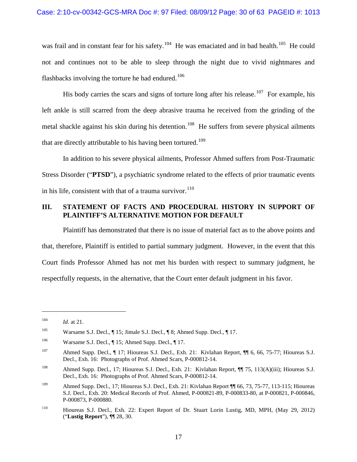was frail and in constant fear for his safety.<sup>[104](#page-29-0)</sup> He was emaciated and in bad health.<sup>[105](#page-29-1)</sup> He could not and continues not to be able to sleep through the night due to vivid nightmares and flashbacks involving the torture he had endured.<sup>[106](#page-29-2)</sup>

His body carries the scars and signs of torture long after his release.<sup>107</sup> For example, his left ankle is still scarred from the deep abrasive trauma he received from the grinding of the metal shackle against his skin during his detention.<sup>108</sup> He suffers from severe physical ailments that are directly attributable to his having been tortured.<sup>[109](#page-29-5)</sup>

In addition to his severe physical ailments, Professor Ahmed suffers from Post-Traumatic Stress Disorder ("**PTSD**"), a psychiatric syndrome related to the effects of prior traumatic events in his life, consistent with that of a trauma survivor.<sup>[110](#page-29-6)</sup>

# **III. STATEMENT OF FACTS AND PROCEDURAL HISTORY IN SUPPORT OF PLAINTIFF'S ALTERNATIVE MOTION FOR DEFAULT**

Plaintiff has demonstrated that there is no issue of material fact as to the above points and that, therefore, Plaintiff is entitled to partial summary judgment. However, in the event that this Court finds Professor Ahmed has not met his burden with respect to summary judgment, he respectfully requests, in the alternative, that the Court enter default judgment in his favor.

<span id="page-29-0"></span> $104$  *Id.* at 21.

<span id="page-29-1"></span><sup>105</sup> Warsame S.J. Decl., ¶ 15; Jimale S.J. Decl., ¶ 8; Ahmed Supp. Decl., ¶ 17.

<span id="page-29-2"></span><sup>&</sup>lt;sup>106</sup> Warsame S.J. Decl., ¶ 15; Ahmed Supp. Decl., ¶ 17.

<span id="page-29-3"></span><sup>107</sup> Ahmed Supp. Decl., ¶ 17; Hioureas S.J. Decl., Exh. 21: Kivlahan Report, ¶ 6, 66, 75-77; Hioureas S.J. Decl., Exh. 16: Photographs of Prof. Ahmed Scars, P-000812-14.

<span id="page-29-4"></span><sup>&</sup>lt;sup>108</sup> Ahmed Supp. Decl., 17; Hioureas S.J. Decl., Exh. 21: Kivlahan Report, ¶ 75, 113(A)(iii); Hioureas S.J. Decl., Exh. 16: Photographs of Prof. Ahmed Scars, P-000812-14.

<span id="page-29-5"></span><sup>109</sup> Ahmed Supp. Decl., 17; Hioureas S.J. Decl., Exh. 21: Kivlahan Report ¶¶ 66, 73, 75-77, 113-115; Hioureas S.J. Decl., Exh. 20: Medical Records of Prof. Ahmed, P-000821-89, P-000833-80, at P-000821, P-000846, P-000873, P-000880.

<span id="page-29-6"></span><sup>110</sup> Hioureas S.J. Decl., Exh. 22: Expert Report of Dr. Stuart Lorin Lustig, MD, MPH, (May 29, 2012) ("**Lustig Report**"), ¶¶ 28, 30.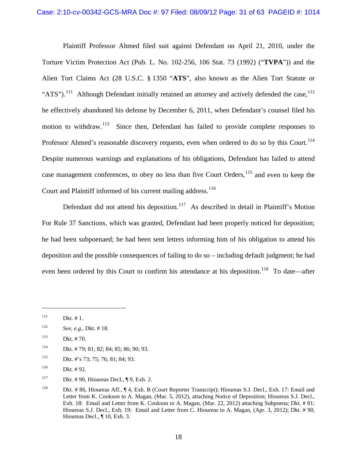#### Case: 2:10-cv-00342-GCS-MRA Doc #: 97 Filed: 08/09/12 Page: 31 of 63 PAGEID #: 1014

Plaintiff Professor Ahmed filed suit against Defendant on April 21, 2010, under the Torture Victim Protection Act (Pub. L. No. 102-256, 106 Stat. 73 (1992) ("**TVPA**")) and the Alien Tort Claims Act (28 U.S.C. § 1350 "**ATS**", also known as the Alien Tort Statute or "ATS").<sup>[111](#page-30-0)</sup> Although Defendant initially retained an attorney and actively defended the case,  $^{112}$  $^{112}$  $^{112}$ he effectively abandoned his defense by December 6, 2011, when Defendant's counsel filed his motion to withdraw.<sup>[113](#page-30-2)</sup> Since then, Defendant has failed to provide complete responses to Professor Ahmed's reasonable discovery requests, even when ordered to do so by this Court.<sup>[114](#page-30-3)</sup> Despite numerous warnings and explanations of his obligations, Defendant has failed to attend case management conferences, to obey no less than five Court Orders,  $^{115}$  $^{115}$  $^{115}$  and even to keep the Court and Plaintiff informed of his current mailing address.<sup>[116](#page-30-5)</sup>

Defendant did not attend his deposition.<sup>[117](#page-30-6)</sup> As described in detail in Plaintiff's Motion For Rule 37 Sanctions, which was granted, Defendant had been properly noticed for deposition; he had been subpoenaed; he had been sent letters informing him of his obligation to attend his deposition and the possible consequences of failing to do so – including default judgment; he had even been ordered by this Court to confirm his attendance at his deposition.<sup>118</sup> To date—after

<span id="page-30-0"></span> $111$  Dkt. # 1.

<span id="page-30-1"></span><sup>112</sup> *See, e.g.*, Dkt. # 18.

<span id="page-30-2"></span><sup>113</sup> Dkt. # 70.

<span id="page-30-3"></span><sup>114</sup> Dkt. # 79; 81; 82; 84; 85; 86; 90; 93.

<span id="page-30-4"></span><sup>115</sup> Dkt. #'s 73; 75; 76; 81; 84; 93.

<span id="page-30-5"></span><sup>116</sup> Dkt. # 92.

<span id="page-30-6"></span><sup>117</sup> Dkt. # 90, Hioureas Decl.,  $\P$  9, Exh. 2.

<span id="page-30-7"></span><sup>118</sup> Dkt. # 86, Hioureas Aff., ¶ 4, Exh. B (Court Reporter Transcript); Hioureas S.J. Decl., Exh. 17: Email and Letter from K. Cookson to A. Magan, (Mar. 5, 2012), attaching Notice of Deposition; Hioureas S.J. Decl., Exh. 18: Email and Letter from K. Cookson to A. Magan, (Mar. 22, 2012) attaching Subpoena; Dkt. # 81; Hioureas S.J. Decl., Exh. 19: Email and Letter from C. Hioureas to A. Magan, (Apr. 3, 2012); Dkt. # 90, Hioureas Decl., ¶ 10, Exh. 3.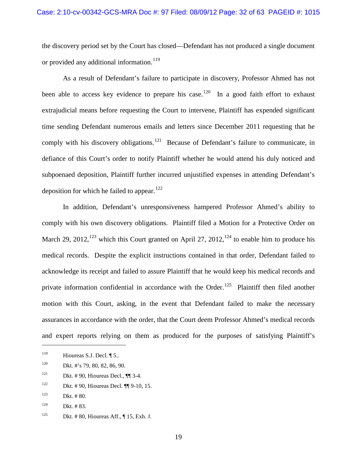the discovery period set by the Court has closed—Defendant has not produced a single document or provided any additional information.<sup>[119](#page-31-0)</sup>

As a result of Defendant's failure to participate in discovery, Professor Ahmed has not been able to access key evidence to prepare his case.<sup>[120](#page-31-1)</sup> In a good faith effort to exhaust extrajudicial means before requesting the Court to intervene, Plaintiff has expended significant time sending Defendant numerous emails and letters since December 2011 requesting that he comply with his discovery obligations.<sup>[121](#page-31-2)</sup> Because of Defendant's failure to communicate, in defiance of this Court's order to notify Plaintiff whether he would attend his duly noticed and subpoenaed deposition, Plaintiff further incurred unjustified expenses in attending Defendant's deposition for which he failed to appear.<sup>[122](#page-31-3)</sup>

In addition, Defendant's unresponsiveness hampered Professor Ahmed's ability to comply with his own discovery obligations. Plaintiff filed a Motion for a Protective Order on March 29, 2012,  $123$  which this Court granted on April 27, 2012,  $124$  to enable him to produce his medical records. Despite the explicit instructions contained in that order, Defendant failed to acknowledge its receipt and failed to assure Plaintiff that he would keep his medical records and private information confidential in accordance with the Order.<sup>[125](#page-31-6)</sup> Plaintiff then filed another motion with this Court, asking, in the event that Defendant failed to make the necessary assurances in accordance with the order, that the Court deem Professor Ahmed's medical records and expert reports relying on them as produced for the purposes of satisfying Plaintiff's

- <span id="page-31-1"></span><sup>120</sup> Dkt. #'s 79, 80, 82, 86, 90.
- <span id="page-31-2"></span><sup>121</sup> Dkt. #90, Hioureas Decl.,  $\P$  3-4.
- <span id="page-31-3"></span><sup>122</sup> Dkt. #90, Hioureas Decl.  $\P$  9-10, 15.
- <span id="page-31-4"></span> $123$  Dkt. # 80.

- <span id="page-31-5"></span> $124$  Dkt. #83.
- <span id="page-31-6"></span><sup>125</sup> Dkt. # 80, Hioureas Aff.,  $\P$  15, Exh. J.

<span id="page-31-0"></span><sup>&</sup>lt;sup>119</sup> Hioureas S.J. Decl.  $\P$  5..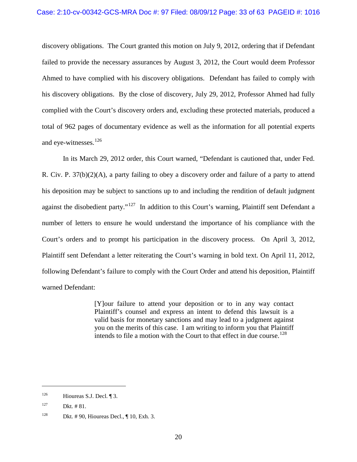#### Case: 2:10-cv-00342-GCS-MRA Doc #: 97 Filed: 08/09/12 Page: 33 of 63 PAGEID #: 1016

discovery obligations. The Court granted this motion on July 9, 2012, ordering that if Defendant failed to provide the necessary assurances by August 3, 2012, the Court would deem Professor Ahmed to have complied with his discovery obligations. Defendant has failed to comply with his discovery obligations. By the close of discovery, July 29, 2012, Professor Ahmed had fully complied with the Court's discovery orders and, excluding these protected materials, produced a total of 962 pages of documentary evidence as well as the information for all potential experts and eye-witnesses.<sup>[126](#page-32-0)</sup>

In its March 29, 2012 order, this Court warned, "Defendant is cautioned that, under Fed. R. Civ. P.  $37(b)(2)(A)$ , a party failing to obey a discovery order and failure of a party to attend his deposition may be subject to sanctions up to and including the rendition of default judgment against the disobedient party."<sup>[127](#page-32-1)</sup> In addition to this Court's warning, Plaintiff sent Defendant a number of letters to ensure he would understand the importance of his compliance with the Court's orders and to prompt his participation in the discovery process. On April 3, 2012, Plaintiff sent Defendant a letter reiterating the Court's warning in bold text. On April 11, 2012, following Defendant's failure to comply with the Court Order and attend his deposition, Plaintiff warned Defendant:

> [Y]our failure to attend your deposition or to in any way contact Plaintiff's counsel and express an intent to defend this lawsuit is a valid basis for monetary sanctions and may lead to a judgment against you on the merits of this case. I am writing to inform you that Plaintiff intends to file a motion with the Court to that effect in due course.<sup>[128](#page-32-2)</sup>

<span id="page-32-0"></span> $^{126}$  Hioureas S.J. Decl. ¶ 3.

<span id="page-32-1"></span> $127$  Dkt.  $\# 81$ .

<span id="page-32-2"></span><sup>&</sup>lt;sup>128</sup> Dkt. # 90, Hioureas Decl.,  $\P$  10, Exh. 3.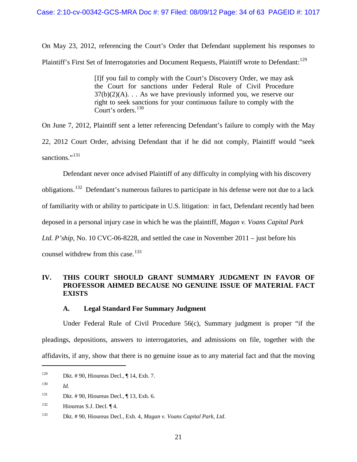### Case: 2:10-cv-00342-GCS-MRA Doc #: 97 Filed: 08/09/12 Page: 34 of 63 PAGEID #: 1017

On May 23, 2012, referencing the Court's Order that Defendant supplement his responses to Plaintiff's First Set of Interrogatories and Document Requests, Plaintiff wrote to Defendant: [129](#page-33-0)

> [I]f you fail to comply with the Court's Discovery Order, we may ask the Court for sanctions under Federal Rule of Civil Procedure  $37(b)(2)(A)$ ... As we have previously informed you, we reserve our right to seek sanctions for your continuous failure to comply with the Court's orders.<sup>[130](#page-33-1)</sup>

On June 7, 2012, Plaintiff sent a letter referencing Defendant's failure to comply with the May

22, 2012 Court Order, advising Defendant that if he did not comply, Plaintiff would "seek sanctions."<sup>131</sup>

Defendant never once advised Plaintiff of any difficulty in complying with his discovery

obligations.[132](#page-33-3) Defendant's numerous failures to participate in his defense were not due to a lack

of familiarity with or ability to participate in U.S. litigation: in fact, Defendant recently had been

deposed in a personal injury case in which he was the plaintiff, *Magan v. Voans Capital Park* 

*Ltd. P'ship*, No. 10 CVC-06-8228, and settled the case in November 2011 – just before his

counsel withdrew from this case.<sup>[133](#page-33-4)</sup>

# **IV. THIS COURT SHOULD GRANT SUMMARY JUDGMENT IN FAVOR OF PROFESSOR AHMED BECAUSE NO GENUINE ISSUE OF MATERIAL FACT EXISTS**

### **A. Legal Standard For Summary Judgment**

Under Federal Rule of Civil Procedure 56(c), Summary judgment is proper "if the pleadings, depositions, answers to interrogatories, and admissions on file, together with the affidavits, if any, show that there is no genuine issue as to any material fact and that the moving

<span id="page-33-0"></span><sup>&</sup>lt;sup>129</sup> Dkt. # 90, Hioureas Decl.,  $\P$  14, Exh. 7.

<span id="page-33-1"></span><sup>130</sup> *Id.*

<span id="page-33-2"></span><sup>&</sup>lt;sup>131</sup> Dkt. #90, Hioureas Decl.,  $\P$  13, Exh. 6.

<span id="page-33-3"></span> $132$  Hioureas S.J. Decl.  $\P$  4.

<span id="page-33-4"></span><sup>133</sup> Dkt. # 90, Hioureas Decl., Exh. 4, *Magan v. Voans Capital Park, Ltd*.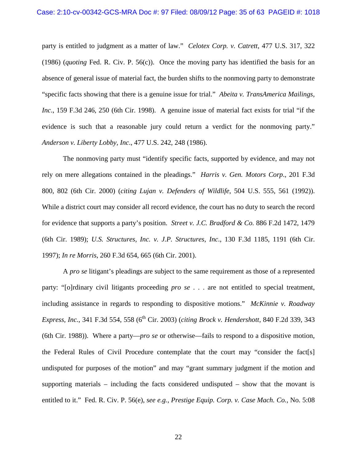party is entitled to judgment as a matter of law." *Celotex Corp. v. Catrett*, 477 U.S. 317, 322 (1986) (*quoting* Fed. R. Civ. P. 56(c)). Once the moving party has identified the basis for an absence of general issue of material fact, the burden shifts to the nonmoving party to demonstrate "specific facts showing that there is a genuine issue for trial." *Abeita v. TransAmerica Mailings, Inc*., 159 F.3d 246, 250 (6th Cir. 1998). A genuine issue of material fact exists for trial "if the evidence is such that a reasonable jury could return a verdict for the nonmoving party." *Anderson v. Liberty Lobby, Inc*., 477 U.S. 242, 248 (1986).

The nonmoving party must "identify specific facts, supported by evidence, and may not rely on mere allegations contained in the pleadings." *Harris v. Gen. Motors Corp*., 201 F.3d 800, 802 (6th Cir. 2000) (*citing Lujan v. Defenders of Wildlife*, 504 U.S. 555, 561 (1992)). While a district court may consider all record evidence, the court has no duty to search the record for evidence that supports a party's position. *Street v. J.C. Bradford & Co.* 886 F.2d 1472, 1479 (6th Cir. 1989); *U.S. Structures, Inc. v. J.P. Structures, Inc*., 130 F.3d 1185, 1191 (6th Cir. 1997); *In re Morris*, 260 F.3d 654, 665 (6th Cir. 2001).

A *pro se* litigant's pleadings are subject to the same requirement as those of a represented party: "[o]rdinary civil litigants proceeding *pro se* . . . are not entitled to special treatment, including assistance in regards to responding to dispositive motions." *McKinnie v. Roadway Express, Inc.*, 341 F.3d 554, 558 (6<sup>th</sup> Cir. 2003) (*citing Brock v. Hendershott,* 840 F.2d 339, 343 (6th Cir. 1988)). Where a party—*pro se* or otherwise—fails to respond to a dispositive motion, the Federal Rules of Civil Procedure contemplate that the court may "consider the fact[s] undisputed for purposes of the motion" and may "grant summary judgment if the motion and supporting materials – including the facts considered undisputed – show that the movant is entitled to it." Fed. R. Civ. P. 56(e), *see e.g.*, *Prestige Equip. Corp. v. Case Mach. Co.,* No. 5:08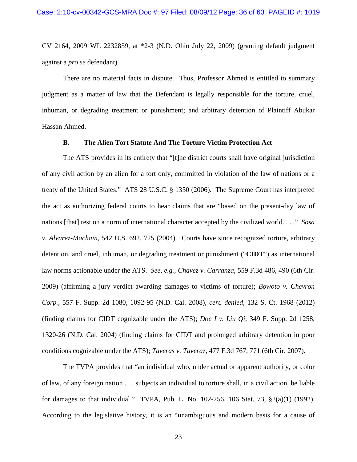CV 2164, 2009 WL 2232859, at \*2-3 (N.D. Ohio July 22, 2009) (granting default judgment against a *pro se* defendant).

There are no material facts in dispute. Thus, Professor Ahmed is entitled to summary judgment as a matter of law that the Defendant is legally responsible for the torture, cruel, inhuman, or degrading treatment or punishment; and arbitrary detention of Plaintiff Abukar Hassan Ahmed.

#### **B. The Alien Tort Statute And The Torture Victim Protection Act**

The ATS provides in its entirety that "[t]he district courts shall have original jurisdiction of any civil action by an alien for a tort only, committed in violation of the law of nations or a treaty of the United States." ATS 28 U.S.C. § 1350 (2006). The Supreme Court has interpreted the act as authorizing federal courts to hear claims that are "based on the present-day law of nations [that] rest on a norm of international character accepted by the civilized world. . . ." *Sosa v. Alvarez-Machain*, 542 U.S. 692, 725 (2004). Courts have since recognized torture, arbitrary detention, and cruel, inhuman, or degrading treatment or punishment ("**CIDT**") as international law norms actionable under the ATS. *See, e.g., Chavez v. Carranza*, 559 F.3d 486, 490 (6th Cir. 2009) (affirming a jury verdict awarding damages to victims of torture); *Bowoto v. Chevron Corp.*, 557 F. Supp. 2d 1080, 1092-95 (N.D. Cal. 2008), *cert. denied*, 132 S. Ct. 1968 (2012) (finding claims for CIDT cognizable under the ATS); *Doe I v. Liu Qi*, 349 F. Supp. 2d 1258, 1320-26 (N.D. Cal. 2004) (finding claims for CIDT and prolonged arbitrary detention in poor conditions cognizable under the ATS); *Taveras v. Taveraz*, 477 F.3d 767, 771 (6th Cir. 2007).

The TVPA provides that "an individual who, under actual or apparent authority, or color of law, of any foreign nation . . . subjects an individual to torture shall, in a civil action, be liable for damages to that individual." TVPA, Pub. L. No. 102-256, 106 Stat. 73, §2(a)(1) (1992). According to the legislative history, it is an "unambiguous and modern basis for a cause of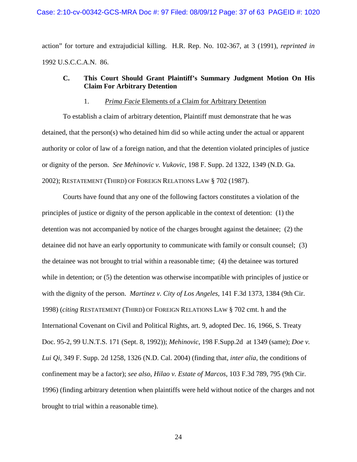action" for torture and extrajudicial killing. H.R. Rep. No. 102-367, at 3 (1991), *reprinted in* 1992 U.S.C.C.A.N. 86.

# **C. This Court Should Grant Plaintiff's Summary Judgment Motion On His Claim For Arbitrary Detention**

#### 1. *Prima Facie* Elements of a Claim for Arbitrary Detention

To establish a claim of arbitrary detention, Plaintiff must demonstrate that he was detained, that the person(s) who detained him did so while acting under the actual or apparent authority or color of law of a foreign nation, and that the detention violated principles of justice or dignity of the person. *See Mehinovic v. Vukovic*, 198 F. Supp. 2d 1322, 1349 (N.D. Ga. 2002); RESTATEMENT (THIRD) OF FOREIGN RELATIONS LAW § 702 (1987).

Courts have found that any one of the following factors constitutes a violation of the principles of justice or dignity of the person applicable in the context of detention: (1) the detention was not accompanied by notice of the charges brought against the detainee; (2) the detainee did not have an early opportunity to communicate with family or consult counsel; (3) the detainee was not brought to trial within a reasonable time; (4) the detainee was tortured while in detention; or  $(5)$  the detention was otherwise incompatible with principles of justice or with the dignity of the person. *Martinez v. City of Los Angeles*, 141 F.3d 1373, 1384 (9th Cir. 1998) (*citing* RESTATEMENT (THIRD) OF FOREIGN RELATIONS LAW § 702 cmt. h and the International Covenant on Civil and Political Rights, art. 9, adopted Dec. 16, 1966, S. Treaty Doc. 95-2, 99 U.N.T.S. 171 (Sept. 8, 1992)); *Mehinovic*, 198 F.Supp.2d at 1349 (same); *Doe v. Lui Qi,* 349 F. Supp. 2d 1258, 1326 (N.D. Cal. 2004) (finding that, *inter alia*, the conditions of confinement may be a factor); *see also*, *Hilao v. Estate of Marcos*, 103 F.3d 789, 795 (9th Cir. 1996) (finding arbitrary detention when plaintiffs were held without notice of the charges and not brought to trial within a reasonable time).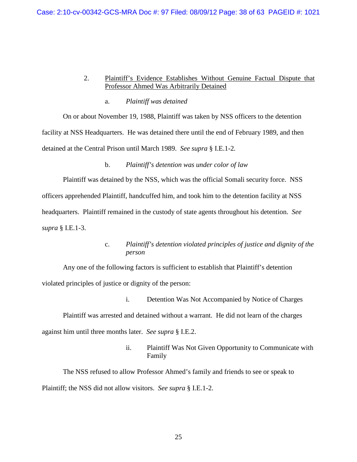### 2. Plaintiff's Evidence Establishes Without Genuine Factual Dispute that Professor Ahmed Was Arbitrarily Detained

### a. *Plaintiff was detained*

On or about November 19, 1988, Plaintiff was taken by NSS officers to the detention facility at NSS Headquarters. He was detained there until the end of February 1989, and then detained at the Central Prison until March 1989. *See supra* § I.E.1-2*.*

### b. *Plaintiff's detention was under color of law*

Plaintiff was detained by the NSS, which was the official Somali security force. NSS officers apprehended Plaintiff, handcuffed him, and took him to the detention facility at NSS headquarters. Plaintiff remained in the custody of state agents throughout his detention. *See supra* § I.E.1-3.

# c. *Plaintiff's detention violated principles of justice and dignity of the person*

Any one of the following factors is sufficient to establish that Plaintiff's detention violated principles of justice or dignity of the person:

i. Detention Was Not Accompanied by Notice of Charges

Plaintiff was arrested and detained without a warrant. He did not learn of the charges against him until three months later. *See supra* § I.E.2.

> ii. Plaintiff Was Not Given Opportunity to Communicate with Family

The NSS refused to allow Professor Ahmed's family and friends to see or speak to Plaintiff; the NSS did not allow visitors. *See supra* § I.E.1-2.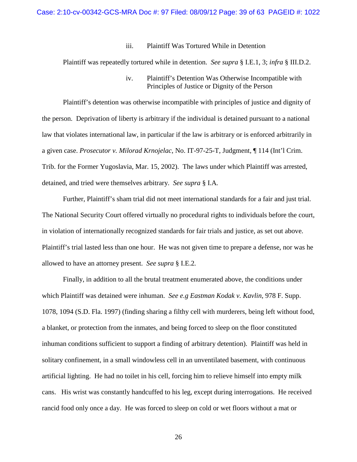#### iii. Plaintiff Was Tortured While in Detention

Plaintiff was repeatedly tortured while in detention. *See supra* § I.E.1, 3; *infra* § III.D.2.

iv. Plaintiff's Detention Was Otherwise Incompatible with Principles of Justice or Dignity of the Person

Plaintiff's detention was otherwise incompatible with principles of justice and dignity of the person. Deprivation of liberty is arbitrary if the individual is detained pursuant to a national law that violates international law, in particular if the law is arbitrary or is enforced arbitrarily in a given case. *Prosecutor v. Milorad Krnojelac*, No. IT-97-25-T, Judgment, ¶ 114 (Int'l Crim. Trib. for the Former Yugoslavia, Mar. 15, 2002). The laws under which Plaintiff was arrested, detained, and tried were themselves arbitrary. *See supra* § I.A*.*

Further, Plaintiff's sham trial did not meet international standards for a fair and just trial. The National Security Court offered virtually no procedural rights to individuals before the court, in violation of internationally recognized standards for fair trials and justice, as set out above. Plaintiff's trial lasted less than one hour. He was not given time to prepare a defense, nor was he allowed to have an attorney present. *See supra* § I.E.2*.*

Finally, in addition to all the brutal treatment enumerated above, the conditions under which Plaintiff was detained were inhuman. *See e.g Eastman Kodak v. Kavlin*, 978 F. Supp. 1078, 1094 (S.D. Fla. 1997) (finding sharing a filthy cell with murderers, being left without food, a blanket, or protection from the inmates, and being forced to sleep on the floor constituted inhuman conditions sufficient to support a finding of arbitrary detention). Plaintiff was held in solitary confinement, in a small windowless cell in an unventilated basement, with continuous artificial lighting. He had no toilet in his cell, forcing him to relieve himself into empty milk cans. His wrist was constantly handcuffed to his leg, except during interrogations. He received rancid food only once a day. He was forced to sleep on cold or wet floors without a mat or

26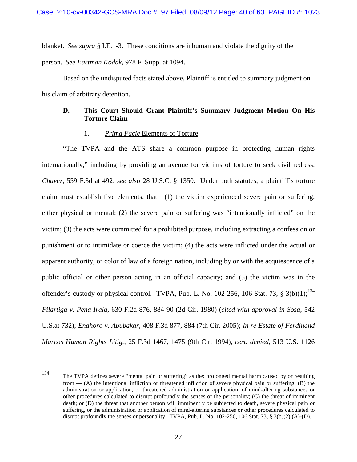blanket. *See supra* § I.E.1-3. These conditions are inhuman and violate the dignity of the person. *See Eastman Kodak*, 978 F. Supp. at 1094.

Based on the undisputed facts stated above, Plaintiff is entitled to summary judgment on his claim of arbitrary detention.

### **D. This Court Should Grant Plaintiff's Summary Judgment Motion On His Torture Claim**

#### 1. *Prima Facie* Elements of Torture

"The TVPA and the ATS share a common purpose in protecting human rights internationally," including by providing an avenue for victims of torture to seek civil redress. *Chavez*, 559 F.3d at 492; *see also* 28 U.S.C. § 1350. Under both statutes, a plaintiff's torture claim must establish five elements, that: (1) the victim experienced severe pain or suffering, either physical or mental; (2) the severe pain or suffering was "intentionally inflicted" on the victim; (3) the acts were committed for a prohibited purpose, including extracting a confession or punishment or to intimidate or coerce the victim; (4) the acts were inflicted under the actual or apparent authority, or color of law of a foreign nation, including by or with the acquiescence of a public official or other person acting in an official capacity; and (5) the victim was in the offender's custody or physical control. TVPA, Pub. L. No. 102-256, 106 Stat. 73,  $\S$  3(b)(1);<sup>[134](#page-39-0)</sup> *Filartiga v. Pena-Irala*, 630 F.2d 876, 884-90 (2d Cir. 1980) (*cited with approval in Sosa*, 542 U.S.at 732); *Enahoro v. Abubakar*, 408 F.3d 877, 884 (7th Cir. 2005); *In re Estate of Ferdinand Marcos Human Rights Litig.*, 25 F.3d 1467, 1475 (9th Cir. 1994), *cert. denied*, 513 U.S. 1126

<span id="page-39-0"></span><sup>134</sup> The TVPA defines severe "mental pain or suffering" as the: prolonged mental harm caused by or resulting from — (A) the intentional infliction or threatened infliction of severe physical pain or suffering; (B) the administration or application, or threatened administration or application, of mind-altering substances or other procedures calculated to disrupt profoundly the senses or the personality; (C) the threat of imminent death; or (D) the threat that another person will imminently be subjected to death, severe physical pain or suffering, or the administration or application of mind-altering substances or other procedures calculated to disrupt profoundly the senses or personality. TVPA, Pub. L. No. 102-256, 106 Stat. 73, § 3(b)(2) (A)-(D).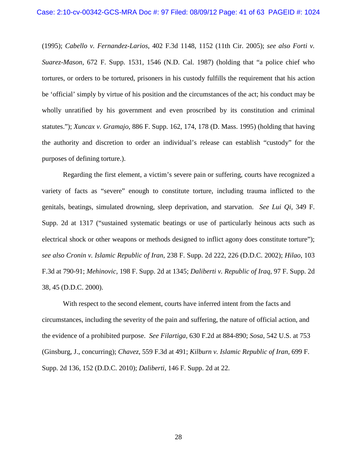(1995); *Cabello v. Fernandez-Larios*, 402 F.3d 1148, 1152 (11th Cir. 2005); *see also Forti v. Suarez-Mason*, 672 F. Supp. 1531, 1546 (N.D. Cal. 1987) (holding that "a police chief who tortures, or orders to be tortured, prisoners in his custody fulfills the requirement that his action be 'official' simply by virtue of his position and the circumstances of the act; his conduct may be wholly unratified by his government and even proscribed by its constitution and criminal statutes."); *Xuncax v. Gramajo*, 886 F. Supp. 162, 174, 178 (D. Mass. 1995) (holding that having the authority and discretion to order an individual's release can establish "custody" for the purposes of defining torture.).

Regarding the first element, a victim's severe pain or suffering, courts have recognized a variety of facts as "severe" enough to constitute torture, including trauma inflicted to the genitals, beatings, simulated drowning, sleep deprivation, and starvation. *See Lui Qi,* 349 F. Supp. 2d at 1317 ("sustained systematic beatings or use of particularly heinous acts such as electrical shock or other weapons or methods designed to inflict agony does constitute torture"); *see also Cronin v. Islamic Republic of Iran*, 238 F. Supp. 2d 222, 226 (D.D.C. 2002); *Hilao*, 103 F.3d at 790-91; *Mehinovic,* 198 F. Supp. 2d at 1345; *Daliberti v. Republic of Iraq,* 97 F. Supp. 2d 38, 45 (D.D.C. 2000).

With respect to the second element, courts have inferred intent from the facts and circumstances, including the severity of the pain and suffering, the nature of official action, and the evidence of a prohibited purpose. *See Filartiga*, 630 F.2d at 884-890; *Sosa*, 542 U.S. at 753 (Ginsburg, J., concurring); *Chavez*, 559 F.3d at 491; *Kilburn v. Islamic Republic of Iran*, 699 F. Supp. 2d 136, 152 (D.D.C. 2010); *Daliberti*, 146 F. Supp. 2d at 22.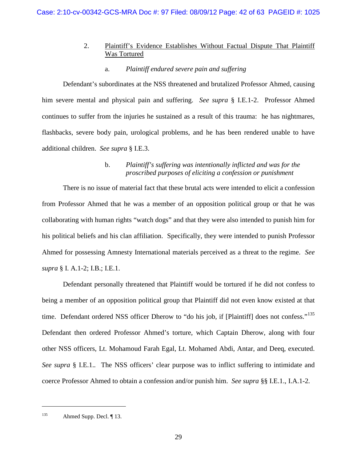# 2. Plaintiff's Evidence Establishes Without Factual Dispute That Plaintiff Was Tortured

# a. *Plaintiff endured severe pain and suffering*

Defendant's subordinates at the NSS threatened and brutalized Professor Ahmed, causing him severe mental and physical pain and suffering. *See supra* § I.E.1-2. Professor Ahmed continues to suffer from the injuries he sustained as a result of this trauma: he has nightmares, flashbacks, severe body pain, urological problems, and he has been rendered unable to have additional children. *See supra* § I.E.3.

# b. *Plaintiff's suffering was intentionally inflicted and was for the proscribed purposes of eliciting a confession or punishment*

There is no issue of material fact that these brutal acts were intended to elicit a confession from Professor Ahmed that he was a member of an opposition political group or that he was collaborating with human rights "watch dogs" and that they were also intended to punish him for his political beliefs and his clan affiliation. Specifically, they were intended to punish Professor Ahmed for possessing Amnesty International materials perceived as a threat to the regime. *See supra* § I. A.1-2; I.B.; I.E.1.

Defendant personally threatened that Plaintiff would be tortured if he did not confess to being a member of an opposition political group that Plaintiff did not even know existed at that time. Defendant ordered NSS officer Dherow to "do his job, if [Plaintiff] does not confess."<sup>[135](#page-41-0)</sup> Defendant then ordered Professor Ahmed's torture, which Captain Dherow, along with four other NSS officers, Lt. Mohamoud Farah Egal, Lt. Mohamed Abdi, Antar, and Deeq, executed. *See supra* § I.E.1.*.* The NSS officers' clear purpose was to inflict suffering to intimidate and coerce Professor Ahmed to obtain a confession and/or punish him. *See supra* §§ I.E.1., I.A.1-2*.* 

<span id="page-41-0"></span><sup>&</sup>lt;sup>135</sup> Ahmed Supp. Decl.  $\P$  13.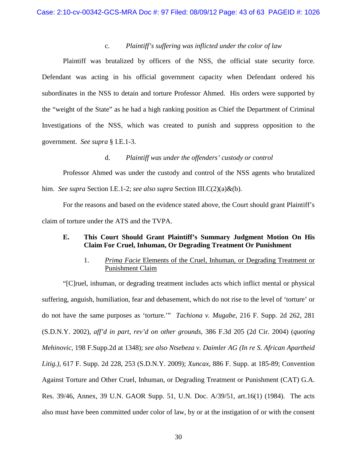### c. *Plaintiff's suffering was inflicted under the color of law*

Plaintiff was brutalized by officers of the NSS, the official state security force. Defendant was acting in his official government capacity when Defendant ordered his subordinates in the NSS to detain and torture Professor Ahmed. His orders were supported by the "weight of the State" as he had a high ranking position as Chief the Department of Criminal Investigations of the NSS, which was created to punish and suppress opposition to the government. *See supra* § I.E.1-3.

### d. *Plaintiff was under the offenders' custody or control*

Professor Ahmed was under the custody and control of the NSS agents who brutalized him. *See supra* Section I.E.1-2; *see also supra* Section III.C(2)(a)&(b).

For the reasons and based on the evidence stated above, the Court should grant Plaintiff's claim of torture under the ATS and the TVPA.

### **E. This Court Should Grant Plaintiff's Summary Judgment Motion On His Claim For Cruel, Inhuman, Or Degrading Treatment Or Punishment**

# 1. *Prima Facie* Elements of the Cruel, Inhuman, or Degrading Treatment or Punishment Claim

"[C]ruel, inhuman, or degrading treatment includes acts which inflict mental or physical suffering, anguish, humiliation, fear and debasement, which do not rise to the level of 'torture' or do not have the same purposes as 'torture.'" *Tachiona v. Mugabe*, 216 F. Supp. 2d 262, 281 (S.D.N.Y. 2002), *aff'd in part, rev'd on other grounds*, 386 F.3d 205 (2d Cir. 2004) (*quoting Mehinovic*, 198 F.Supp.2d at 1348); *see also Ntsebeza v. Daimler AG (In re S. African Apartheid Litig.),* 617 F. Supp. 2d 228, 253 (S.D.N.Y. 2009); *Xuncax*, 886 F. Supp. at 185-89; Convention Against Torture and Other Cruel, Inhuman, or Degrading Treatment or Punishment (CAT) G.A. Res. 39/46, Annex, 39 U.N. GAOR Supp. 51, U.N. Doc. A/39/51, art.16(1) (1984). The acts also must have been committed under color of law, by or at the instigation of or with the consent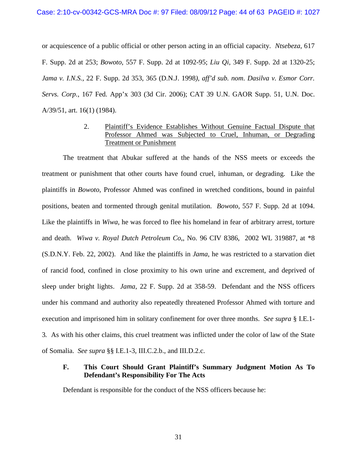or acquiescence of a public official or other person acting in an official capacity. *Ntsebeza*, 617 F. Supp. 2d at 253; *Bowoto*, 557 F. Supp. 2d at 1092-95; *Liu Qi*, 349 F. Supp. 2d at 1320-25; *Jama v. I.N.S.*, 22 F. Supp. 2d 353, 365 (D.N.J. 1998*), aff'd sub. nom*. *Dasilva v. Esmor Corr. Servs. Corp.*, 167 Fed. App'x 303 (3d Cir. 2006); CAT 39 U.N. GAOR Supp. 51, U.N. Doc. A/39/51, art. 16(1) (1984).

# 2. Plaintiff's Evidence Establishes Without Genuine Factual Dispute that Professor Ahmed was Subjected to Cruel, Inhuman, or Degrading Treatment or Punishment

The treatment that Abukar suffered at the hands of the NSS meets or exceeds the treatment or punishment that other courts have found cruel, inhuman, or degrading. Like the plaintiffs in *Bowoto*, Professor Ahmed was confined in wretched conditions, bound in painful positions, beaten and tormented through genital mutilation. *Bowoto*, 557 F. Supp. 2d at 1094. Like the plaintiffs in *Wiwa*, he was forced to flee his homeland in fear of arbitrary arrest, torture and death. *Wiwa v. Royal Dutch Petroleum Co*,, No. 96 CIV 8386, 2002 WL 319887, at \*8 (S.D.N.Y. Feb. 22, 2002). And like the plaintiffs in *Jama*, he was restricted to a starvation diet of rancid food, confined in close proximity to his own urine and excrement, and deprived of sleep under bright lights. *Jama*, 22 F. Supp. 2d at 358-59. Defendant and the NSS officers under his command and authority also repeatedly threatened Professor Ahmed with torture and execution and imprisoned him in solitary confinement for over three months. *See supra* § I.E.1- 3*.* As with his other claims, this cruel treatment was inflicted under the color of law of the State of Somalia. *See supra* §§ I.E.1-3, III.C.2.b., and III.D.2.c.

# **F. This Court Should Grant Plaintiff's Summary Judgment Motion As To Defendant's Responsibility For The Acts**

Defendant is responsible for the conduct of the NSS officers because he: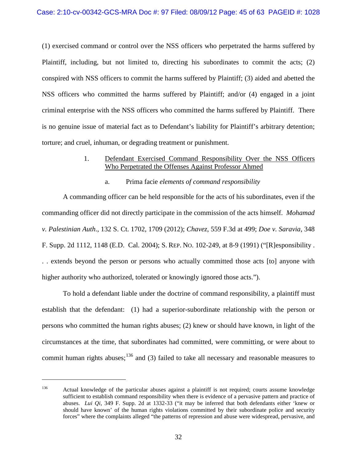(1) exercised command or control over the NSS officers who perpetrated the harms suffered by Plaintiff, including, but not limited to, directing his subordinates to commit the acts; (2) conspired with NSS officers to commit the harms suffered by Plaintiff; (3) aided and abetted the NSS officers who committed the harms suffered by Plaintiff; and/or (4) engaged in a joint criminal enterprise with the NSS officers who committed the harms suffered by Plaintiff. There is no genuine issue of material fact as to Defendant's liability for Plaintiff's arbitrary detention; torture; and cruel, inhuman, or degrading treatment or punishment.

### 1. Defendant Exercised Command Responsibility Over the NSS Officers Who Perpetrated the Offenses Against Professor Ahmed

#### a. Prima facie *elements of command responsibility*

A commanding officer can be held responsible for the acts of his subordinates, even if the commanding officer did not directly participate in the commission of the acts himself. *Mohamad v. Palestinian Auth*., 132 S. Ct. 1702, 1709 (2012); *Chavez*, 559 F.3d at 499; *Doe v. Saravia*, 348 F. Supp. 2d 1112, 1148 (E.D. Cal. 2004); S. REP. NO. 102-249, at 8-9 (1991) ("[R]esponsibility . . . extends beyond the person or persons who actually committed those acts [to] anyone with higher authority who authorized, tolerated or knowingly ignored those acts.").

To hold a defendant liable under the doctrine of command responsibility, a plaintiff must establish that the defendant: (1) had a superior-subordinate relationship with the person or persons who committed the human rights abuses; (2) knew or should have known, in light of the circumstances at the time, that subordinates had committed, were committing, or were about to commit human rights abuses;<sup>[136](#page-44-0)</sup> and (3) failed to take all necessary and reasonable measures to

<span id="page-44-0"></span><sup>&</sup>lt;sup>136</sup> Actual knowledge of the particular abuses against a plaintiff is not required; courts assume knowledge sufficient to establish command responsibility when there is evidence of a pervasive pattern and practice of abuses. *Lui Qi*, 349 F. Supp. 2d at 1332-33 ("it may be inferred that both defendants either 'knew or should have known' of the human rights violations committed by their subordinate police and security forces" where the complaints alleged "the patterns of repression and abuse were widespread, pervasive, and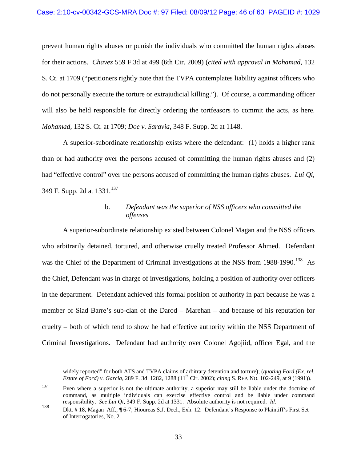prevent human rights abuses or punish the individuals who committed the human rights abuses for their actions. *Chavez* 559 F.3d at 499 (6th Cir. 2009) (*cited with approval in Mohamad*, 132 S. Ct. at 1709 ("petitioners rightly note that the TVPA contemplates liability against officers who do not personally execute the torture or extrajudicial killing."). Of course, a commanding officer will also be held responsible for directly ordering the tortfeasors to commit the acts, as here. *Mohamad,* 132 S. Ct. at 1709; *Doe v. Saravia*, 348 F. Supp. 2d at 1148.

A superior-subordinate relationship exists where the defendant: (1) holds a higher rank than or had authority over the persons accused of committing the human rights abuses and (2) had "effective control" over the persons accused of committing the human rights abuses. *Lui Qi*, 349 F. Supp. 2d at 1331.<sup>[137](#page-45-0)</sup>

# b. *Defendant was the superior of NSS officers who committed the offenses*

A superior-subordinate relationship existed between Colonel Magan and the NSS officers who arbitrarily detained, tortured, and otherwise cruelly treated Professor Ahmed. Defendant was the Chief of the Department of Criminal Investigations at the NSS from 1988-1990.<sup>[138](#page-45-1)</sup> As the Chief, Defendant was in charge of investigations, holding a position of authority over officers in the department. Defendant achieved this formal position of authority in part because he was a member of Siad Barre's sub-clan of the Darod – Marehan – and because of his reputation for cruelty – both of which tend to show he had effective authority within the NSS Department of Criminal Investigations. Defendant had authority over Colonel Agojiid, officer Egal, and the

widely reported" for both ATS and TVPA claims of arbitrary detention and torture); (*quoting Ford (Ex. rel. Estate of Ford) v. Garcia*, 289 F. 3d 1282, 1288 (11<sup>th</sup> Cir. 2002); *citing* S. REP. NO. 102-249, at 9 (1991)).

<span id="page-45-0"></span><sup>&</sup>lt;sup>137</sup> Even where a superior is not the ultimate authority, a superior may still be liable under the doctrine of command, as multiple individuals can exercise effective control and be liable under command responsibility. See Lui Qi, 349 F. Supp. 2d at 1331. Absolute authority is not required. *Id.* 

<span id="page-45-1"></span><sup>138</sup> Dkt. # 18, Magan Aff., ¶ 6-7; Hioureas S.J. Decl., Exh. 12: Defendant's Response to Plaintiff's First Set of Interrogatories, No. 2.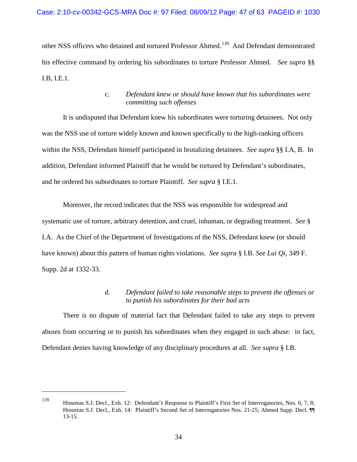other NSS officers who detained and tortured Professor Ahmed.<sup>139</sup> And Defendant demonstrated his effective command by ordering his subordinates to torture Professor Ahmed. *See supra* §§ I.B, I.E.1.

# c. *Defendant knew or should have known that his subordinates were committing such offenses*

It is undisputed that Defendant knew his subordinates were torturing detainees. Not only was the NSS use of torture widely known and known specifically to the high-ranking officers within the NSS, Defendant himself participated in brutalizing detainees. *See supra* §§ I.A, B. In addition, Defendant informed Plaintiff that he would be tortured by Defendant's subordinates, and he ordered his subordinates to torture Plaintiff. *See supra* § I.E.1.

Moreover, the record indicates that the NSS was responsible for widespread and systematic use of torture, arbitrary detention, and cruel, inhuman, or degrading treatment. *See* § I.A. As the Chief of the Department of Investigations of the NSS, Defendant knew (or should have known) about this pattern of human rights violations. *See supra* § I.B. *See Lui Qi*, 349 F. Supp. 2d at 1332-33.

# d. *Defendant failed to take reasonable steps to prevent the offenses or to punish his subordinates for their bad acts*

There is no dispute of material fact that Defendant failed to take any steps to prevent abuses from occurring or to punish his subordinates when they engaged in such abuse: in fact, Defendant denies having knowledge of any disciplinary procedures at all. *See supra* § I.B.

<span id="page-46-0"></span><sup>139</sup> Hioureas S.J. Decl., Exh. 12: Defendant's Response to Plaintiff's First Set of Interrogatories, Nos. 6, 7, 8; Hioureas S.J. Decl., Exh. 14: Plaintiff's Second Set of Interrogatories Nos. 21-25; Ahmed Supp. Decl. ¶¶ 13-15.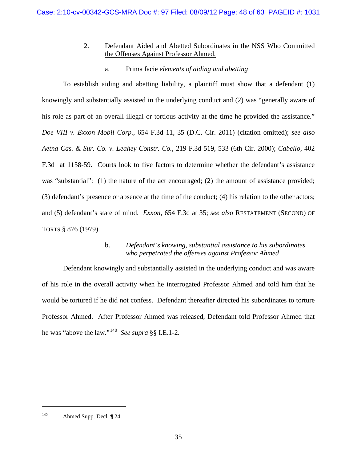# 2. Defendant Aided and Abetted Subordinates in the NSS Who Committed the Offenses Against Professor Ahmed.

# a. Prima facie *elements of aiding and abetting*

To establish aiding and abetting liability, a plaintiff must show that a defendant (1) knowingly and substantially assisted in the underlying conduct and (2) was "generally aware of his role as part of an overall illegal or tortious activity at the time he provided the assistance." *Doe VIII v. Exxon Mobil Corp.*, 654 F.3d 11, 35 (D.C. Cir. 2011) (citation omitted); *see also Aetna Cas. & Sur. Co. v. Leahey Constr. Co.*, 219 F.3d 519, 533 (6th Cir. 2000); *Cabello*, 402 F.3d at 1158-59. Courts look to five factors to determine whether the defendant's assistance was "substantial": (1) the nature of the act encouraged; (2) the amount of assistance provided; (3) defendant's presence or absence at the time of the conduct; (4) his relation to the other actors; and (5) defendant's state of mind. *Exxon*, 654 F.3d at 35; *see also* RESTATEMENT (SECOND) OF TORTS § 876 (1979).

# b. *Defendant's knowing, substantial assistance to his subordinates who perpetrated the offenses against Professor Ahmed*

Defendant knowingly and substantially assisted in the underlying conduct and was aware of his role in the overall activity when he interrogated Professor Ahmed and told him that he would be tortured if he did not confess. Defendant thereafter directed his subordinates to torture Professor Ahmed. After Professor Ahmed was released, Defendant told Professor Ahmed that he was "above the law."[140](#page-47-0) *See supra* §§ I.E.1-2.

<span id="page-47-0"></span><sup>140</sup> Ahmed Supp. Decl. ¶ 24.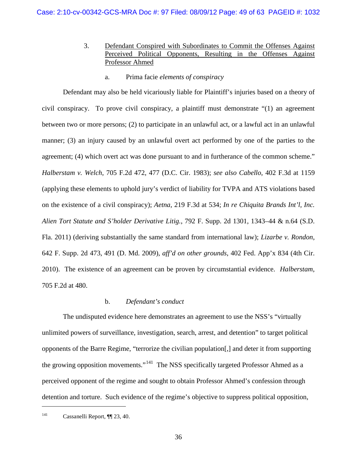- 3. Defendant Conspired with Subordinates to Commit the Offenses Against Perceived Political Opponents, Resulting in the Offenses Against Professor Ahmed
	- a. Prima facie *elements of conspiracy*

Defendant may also be held vicariously liable for Plaintiff's injuries based on a theory of civil conspiracy. To prove civil conspiracy, a plaintiff must demonstrate "(1) an agreement between two or more persons; (2) to participate in an unlawful act, or a lawful act in an unlawful manner; (3) an injury caused by an unlawful overt act performed by one of the parties to the agreement; (4) which overt act was done pursuant to and in furtherance of the common scheme." *Halberstam v. Welch*, 705 F.2d 472, 477 (D.C. Cir. 1983); *see also Cabello*, 402 F.3d at 1159 (applying these elements to uphold jury's verdict of liability for TVPA and ATS violations based on the existence of a civil conspiracy); *Aetna*, 219 F.3d at 534; *In re Chiquita Brands Int'l, Inc. Alien Tort Statute and S'holder Derivative Litig.*, 792 F. Supp. 2d 1301, 1343–44 & n.64 (S.D. Fla. 2011) (deriving substantially the same standard from international law); *Lizarbe v. Rondon*, 642 F. Supp. 2d 473, 491 (D. Md. 2009), *aff'd on other grounds*, 402 Fed. App'x 834 (4th Cir. 2010). The existence of an agreement can be proven by circumstantial evidence. *Halberstam*, 705 F.2d at 480.

### b. *Defendant's conduct*

The undisputed evidence here demonstrates an agreement to use the NSS's "virtually unlimited powers of surveillance, investigation, search, arrest, and detention" to target political opponents of the Barre Regime, "terrorize the civilian population[,] and deter it from supporting the growing opposition movements."<sup>141</sup> The NSS specifically targeted Professor Ahmed as a perceived opponent of the regime and sought to obtain Professor Ahmed's confession through detention and torture. Such evidence of the regime's objective to suppress political opposition,

<span id="page-48-0"></span><sup>141</sup> Cassanelli Report, ¶¶ 23, 40.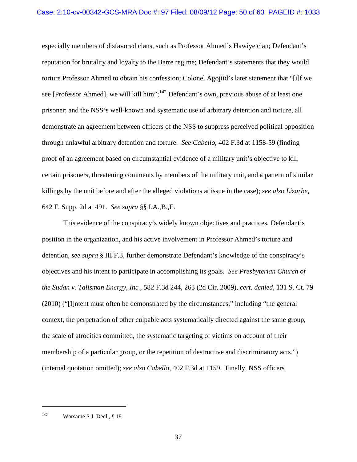especially members of disfavored clans, such as Professor Ahmed's Hawiye clan; Defendant's reputation for brutality and loyalty to the Barre regime; Defendant's statements that they would torture Professor Ahmed to obtain his confession; Colonel Agojiid's later statement that "[i]f we see [Professor Ahmed], we will kill him";<sup>[142](#page-49-0)</sup> Defendant's own, previous abuse of at least one prisoner; and the NSS's well-known and systematic use of arbitrary detention and torture, all demonstrate an agreement between officers of the NSS to suppress perceived political opposition through unlawful arbitrary detention and torture. *See Cabello*, 402 F.3d at 1158-59 (finding proof of an agreement based on circumstantial evidence of a military unit's objective to kill certain prisoners, threatening comments by members of the military unit, and a pattern of similar killings by the unit before and after the alleged violations at issue in the case); *see also Lizarbe*, 642 F. Supp. 2d at 491. *See supra* §§ I.A.,B.,E.

This evidence of the conspiracy's widely known objectives and practices, Defendant's position in the organization, and his active involvement in Professor Ahmed's torture and detention, *see supra* § III.F.3, further demonstrate Defendant's knowledge of the conspiracy's objectives and his intent to participate in accomplishing its goals. *See Presbyterian Church of the Sudan v. Talisman Energy, Inc.,* 582 F.3d 244, 263 (2d Cir. 2009), *cert. denied*, 131 S. Ct. 79 (2010) ("[I]ntent must often be demonstrated by the circumstances," including "the general context, the perpetration of other culpable acts systematically directed against the same group, the scale of atrocities committed, the systematic targeting of victims on account of their membership of a particular group, or the repetition of destructive and discriminatory acts.") (internal quotation omitted); *see also Cabello*, 402 F.3d at 1159. Finally, NSS officers

<span id="page-49-0"></span><sup>&</sup>lt;sup>142</sup> Warsame S.J. Decl.,  $\P$  18.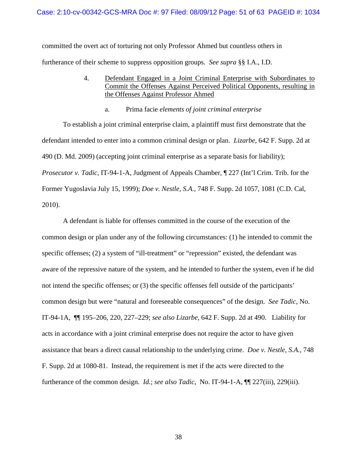committed the overt act of torturing not only Professor Ahmed but countless others in furtherance of their scheme to suppress opposition groups. *See supra* §§ I.A., I.D.

- 4. Defendant Engaged in a Joint Criminal Enterprise with Subordinates to Commit the Offenses Against Perceived Political Opponents, resulting in the Offenses Against Professor Ahmed
	- a. Prima facie *elements of joint criminal enterprise*

To establish a joint criminal enterprise claim, a plaintiff must first demonstrate that the defendant intended to enter into a common criminal design or plan. *Lizarbe*, 642 F. Supp. 2d at 490 (D. Md. 2009) (accepting joint criminal enterprise as a separate basis for liability); *Prosecutor v. Tadic*, IT-94-1-A, Judgment of Appeals Chamber, ¶ 227 (Int'l Crim. Trib. for the Former Yugoslavia July 15, 1999); *Doe v. Nestle, S.A.*, 748 F. Supp. 2d 1057, 1081 (C.D. Cal, 2010).

A defendant is liable for offenses committed in the course of the execution of the common design or plan under any of the following circumstances: (1) he intended to commit the specific offenses; (2) a system of "ill-treatment" or "repression" existed, the defendant was aware of the repressive nature of the system, and he intended to further the system, even if he did not intend the specific offenses; or (3) the specific offenses fell outside of the participants' common design but were "natural and foreseeable consequences" of the design. *See Tadic*, No. IT-94-1A, ¶¶ 195–206, 220, 227–229; *see also Lizarbe*, 642 F. Supp. 2d at 490. Liability for acts in accordance with a joint criminal enterprise does not require the actor to have given assistance that bears a direct causal relationship to the underlying crime. *Doe v. Nestle, S.A.*, 748 F. Supp. 2d at 1080-81. Instead, the requirement is met if the acts were directed to the furtherance of the common design. *Id.*; *see also Tadic*, No. IT-94-1-A, ¶¶ 227(iii), 229(iii).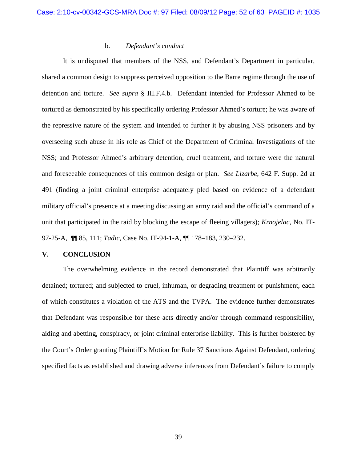### b. *Defendant's conduct*

It is undisputed that members of the NSS, and Defendant's Department in particular, shared a common design to suppress perceived opposition to the Barre regime through the use of detention and torture. *See supra* § III.F.4.b. Defendant intended for Professor Ahmed to be tortured as demonstrated by his specifically ordering Professor Ahmed's torture; he was aware of the repressive nature of the system and intended to further it by abusing NSS prisoners and by overseeing such abuse in his role as Chief of the Department of Criminal Investigations of the NSS; and Professor Ahmed's arbitrary detention, cruel treatment, and torture were the natural and foreseeable consequences of this common design or plan. *See Lizarbe*, 642 F. Supp. 2d at 491 (finding a joint criminal enterprise adequately pled based on evidence of a defendant military official's presence at a meeting discussing an army raid and the official's command of a unit that participated in the raid by blocking the escape of fleeing villagers); *Krnojelac*, No. IT-97-25-A, ¶¶ 85, 111; *Tadic*, Case No. IT-94-1-A, ¶¶ 178–183, 230–232.

### **V. CONCLUSION**

The overwhelming evidence in the record demonstrated that Plaintiff was arbitrarily detained; tortured; and subjected to cruel, inhuman, or degrading treatment or punishment, each of which constitutes a violation of the ATS and the TVPA. The evidence further demonstrates that Defendant was responsible for these acts directly and/or through command responsibility, aiding and abetting, conspiracy, or joint criminal enterprise liability. This is further bolstered by the Court's Order granting Plaintiff's Motion for Rule 37 Sanctions Against Defendant, ordering specified facts as established and drawing adverse inferences from Defendant's failure to comply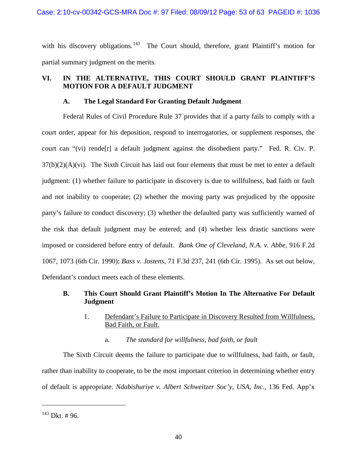with his discovery obligations.<sup>[143](#page-52-0)</sup> The Court should, therefore, grant Plaintiff's motion for partial summary judgment on the merits.

# **VI. IN THE ALTERNATIVE, THIS COURT SHOULD GRANT PLAINTIFF'S MOTION FOR A DEFAULT JUDGMENT**

# **A. The Legal Standard For Granting Default Judgment**

Federal Rules of Civil Procedure Rule 37 provides that if a party fails to comply with a court order, appear for his deposition, respond to interrogatories, or supplement responses, the court can "(vi) rende<sup>[r]</sup> a default judgment against the disobedient party." Fed. R. Civ. P.  $37(b)(2)(A)(vi)$ . The Sixth Circuit has laid out four elements that must be met to enter a default judgment: (1) whether failure to participate in discovery is due to willfulness, bad faith or fault and not inability to cooperate; (2) whether the moving party was prejudiced by the opposite party's failure to conduct discovery; (3) whether the defaulted party was sufficiently warned of the risk that default judgment may be entered; and (4) whether less drastic sanctions were imposed or considered before entry of default. *Bank One of Cleveland, N.A. v. Abbe,* 916 F.2d 1067, 1073 (6th Cir. 1990); *Bass v. Jostens*, 71 F.3d 237, 241 (6th Cir. 1995). As set out below, Defendant's conduct meets each of these elements.

# **B. This Court Should Grant Plaintiff's Motion In The Alternative For Default Judgment**

- 1. Defendant's Failure to Participate in Discovery Resulted from Willfulness, Bad Faith, or Fault.
	- a. *The standard for willfulness, bad faith, or fault*

The Sixth Circuit deems the failure to participate due to willfulness, bad faith, or fault, rather than inability to cooperate, to be the most important criterion in determining whether entry of default is appropriate. *Ndabishuriye v. Albert Schweitzer Soc'y, USA, Inc.*, 136 Fed. App'x

<span id="page-52-0"></span> $143$  Dkt. # 96.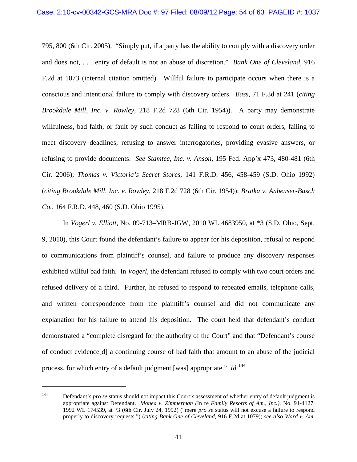795, 800 (6th Cir. 2005). "Simply put, if a party has the ability to comply with a discovery order and does not, . . . entry of default is not an abuse of discretion." *Bank One of Cleveland,* 916 F.2d at 1073 (internal citation omitted). Willful failure to participate occurs when there is a conscious and intentional failure to comply with discovery orders. *Bass*, 71 F.3d at 241 (*citing Brookdale Mill, Inc. v. Rowley,* 218 F.2d 728 (6th Cir. 1954)). A party may demonstrate willfulness, bad faith, or fault by such conduct as failing to respond to court orders, failing to meet discovery deadlines, refusing to answer interrogatories, providing evasive answers, or refusing to provide documents. *See Stamtec, Inc. v. Anson,* 195 Fed. App'x 473, 480-481 (6th Cir. 2006); *Thomas v. Victoria's Secret Stores,* 141 F.R.D. 456, 458-459 (S.D. Ohio 1992) (*citing Brookdale Mill, Inc. v. Rowley,* 218 F.2d 728 (6th Cir. 1954)); *Bratka v. Anheuser-Busch Co.,* 164 F.R.D. 448, 460 (S.D. Ohio 1995).

In *Vogerl v. Elliott,* No. 09-713–MRB-JGW, 2010 WL 4683950, at \*3 (S.D. Ohio, Sept. 9, 2010), this Court found the defendant's failure to appear for his deposition, refusal to respond to communications from plaintiff's counsel, and failure to produce any discovery responses exhibited willful bad faith. In *Vogerl*, the defendant refused to comply with two court orders and refused delivery of a third. Further, he refused to respond to repeated emails, telephone calls, and written correspondence from the plaintiff's counsel and did not communicate any explanation for his failure to attend his deposition. The court held that defendant's conduct demonstrated a "complete disregard for the authority of the Court" and that "Defendant's course of conduct evidence[d] a continuing course of bad faith that amount to an abuse of the judicial process, for which entry of a default judgment [was] appropriate." *Id.*[144](#page-53-0)

<span id="page-53-0"></span><sup>144</sup> Defendant's *pro se* status should not impact this Court's assessment of whether entry of default judgment is appropriate against Defendant. *Monea v. Zimmerman (*In re *Family Resorts of Am., Inc.),* No. 91-4127, 1992 WL 174539, at \*3 (6th Cir. July 24, 1992) ("mere *pro se* status will not excuse a failure to respond properly to discovery requests.") (*citing Bank One of Cleveland,* 916 F.2d at 1079); *see also Ward v. Am.*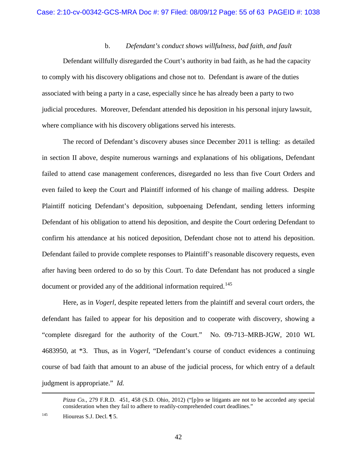### b. *Defendant's conduct shows willfulness, bad faith, and fault*

Defendant willfully disregarded the Court's authority in bad faith, as he had the capacity to comply with his discovery obligations and chose not to. Defendant is aware of the duties associated with being a party in a case, especially since he has already been a party to two judicial procedures. Moreover, Defendant attended his deposition in his personal injury lawsuit, where compliance with his discovery obligations served his interests.

The record of Defendant's discovery abuses since December 2011 is telling: as detailed in section II above, despite numerous warnings and explanations of his obligations, Defendant failed to attend case management conferences, disregarded no less than five Court Orders and even failed to keep the Court and Plaintiff informed of his change of mailing address. Despite Plaintiff noticing Defendant's deposition, subpoenaing Defendant, sending letters informing Defendant of his obligation to attend his deposition, and despite the Court ordering Defendant to confirm his attendance at his noticed deposition, Defendant chose not to attend his deposition. Defendant failed to provide complete responses to Plaintiff's reasonable discovery requests, even after having been ordered to do so by this Court. To date Defendant has not produced a single document or provided any of the additional information required.<sup>[145](#page-54-0)</sup>

Here, as in *Vogerl*, despite repeated letters from the plaintiff and several court orders, the defendant has failed to appear for his deposition and to cooperate with discovery, showing a "complete disregard for the authority of the Court." No. 09-713–MRB-JGW, 2010 WL 4683950, at \*3. Thus, as in *Vogerl*, "Defendant's course of conduct evidences a continuing course of bad faith that amount to an abuse of the judicial process, for which entry of a default judgment is appropriate." *Id.*

*Pizza Co.*, 279 F.R.D. 451, 458 (S.D. Ohio, 2012) ("[p]ro se litigants are not to be accorded any special consideration when they fail to adhere to readily-comprehended court deadlines."

<span id="page-54-0"></span><sup>&</sup>lt;sup>145</sup> Hioureas S.J. Decl.  $\P$  5.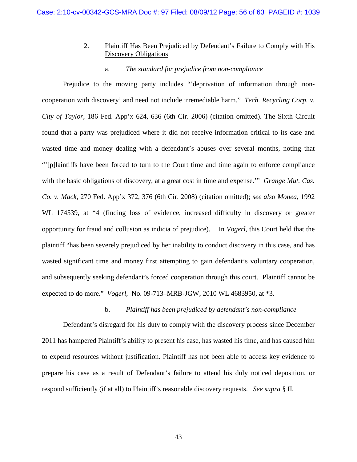# 2. Plaintiff Has Been Prejudiced by Defendant's Failure to Comply with His Discovery Obligations

### a. *The standard for prejudice from non-compliance*

Prejudice to the moving party includes "'deprivation of information through noncooperation with discovery' and need not include irremediable harm." *Tech. Recycling Corp. v. City of Taylor,* 186 Fed. App'x 624, 636 (6th Cir. 2006) (citation omitted). The Sixth Circuit found that a party was prejudiced where it did not receive information critical to its case and wasted time and money dealing with a defendant's abuses over several months, noting that "'[p]laintiffs have been forced to turn to the Court time and time again to enforce compliance with the basic obligations of discovery, at a great cost in time and expense.'" *Grange Mut. Cas. Co. v. Mack,* 270 Fed. App'x 372, 376 (6th Cir. 2008) (citation omitted); *see also Monea*, 1992 WL 174539, at \*4 (finding loss of evidence, increased difficulty in discovery or greater opportunity for fraud and collusion as indicia of prejudice). In *Vogerl*, this Court held that the plaintiff "has been severely prejudiced by her inability to conduct discovery in this case, and has wasted significant time and money first attempting to gain defendant's voluntary cooperation, and subsequently seeking defendant's forced cooperation through this court. Plaintiff cannot be expected to do more." *Vogerl,* No. 09-713–MRB-JGW, 2010 WL 4683950, at \*3.

### b. *Plaintiff has been prejudiced by defendant's non-compliance*

Defendant's disregard for his duty to comply with the discovery process since December 2011 has hampered Plaintiff's ability to present his case, has wasted his time, and has caused him to expend resources without justification. Plaintiff has not been able to access key evidence to prepare his case as a result of Defendant's failure to attend his duly noticed deposition, or respond sufficiently (if at all) to Plaintiff's reasonable discovery requests. *See supra* § II*.*

43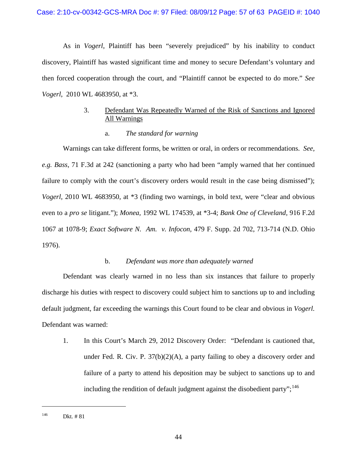As in *Vogerl*, Plaintiff has been "severely prejudiced" by his inability to conduct discovery, Plaintiff has wasted significant time and money to secure Defendant's voluntary and then forced cooperation through the court, and "Plaintiff cannot be expected to do more." *See Vogerl*, 2010 WL 4683950, at \*3.

# 3. Defendant Was Repeatedly Warned of the Risk of Sanctions and Ignored All Warnings

a. *The standard for warning*

Warnings can take different forms, be written or oral, in orders or recommendations. *See, e.g. Bass*, 71 F.3d at 242 (sanctioning a party who had been "amply warned that her continued failure to comply with the court's discovery orders would result in the case being dismissed"); *Vogerl,* 2010 WL 4683950, at \*3 (finding two warnings, in bold text, were "clear and obvious even to a *pro se* litigant."); *Monea,* 1992 WL 174539, at \*3-4; *Bank One of Cleveland,* 916 F.2d 1067 at 1078-9; *Exact Software N. Am. v. Infocon,* 479 F. Supp. 2d 702, 713-714 (N.D. Ohio 1976).

### b. *Defendant was more than adequately warned*

Defendant was clearly warned in no less than six instances that failure to properly discharge his duties with respect to discovery could subject him to sanctions up to and including default judgment, far exceeding the warnings this Court found to be clear and obvious in *Vogerl.*  Defendant was warned:

1. In this Court's March 29, 2012 Discovery Order: "Defendant is cautioned that, under Fed. R. Civ. P.  $37(b)(2)(A)$ , a party failing to obey a discovery order and failure of a party to attend his deposition may be subject to sanctions up to and including the rendition of default judgment against the disobedient party";<sup>[146](#page-56-0)</sup>

<span id="page-56-0"></span><sup>146</sup> Dkt. # 81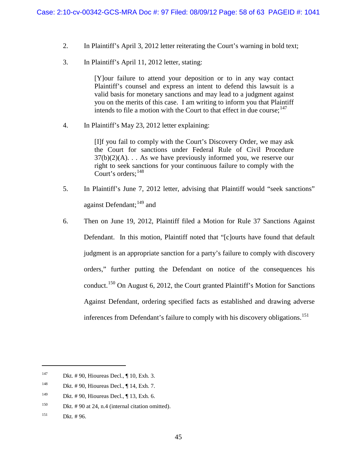- 2. In Plaintiff's April 3, 2012 letter reiterating the Court's warning in bold text;
- 3. In Plaintiff's April 11, 2012 letter, stating:

[Y]our failure to attend your deposition or to in any way contact Plaintiff's counsel and express an intent to defend this lawsuit is a valid basis for monetary sanctions and may lead to a judgment against you on the merits of this case. I am writing to inform you that Plaintiff intends to file a motion with the Court to that effect in due course;  $147$ 

4. In Plaintiff's May 23, 2012 letter explaining:

[I]f you fail to comply with the Court's Discovery Order, we may ask the Court for sanctions under Federal Rule of Civil Procedure  $37(b)(2)(A)$ ... As we have previously informed you, we reserve our right to seek sanctions for your continuous failure to comply with the Court's orders;<sup>[148](#page-57-1)</sup>

- 5. In Plaintiff's June 7, 2012 letter, advising that Plaintiff would "seek sanctions" against Defendant;<sup>[149](#page-57-2)</sup> and
- 6. Then on June 19, 2012, Plaintiff filed a Motion for Rule 37 Sanctions Against Defendant. In this motion, Plaintiff noted that "[c]ourts have found that default judgment is an appropriate sanction for a party's failure to comply with discovery orders," further putting the Defendant on notice of the consequences his conduct.<sup>[150](#page-57-3)</sup> On August 6, 2012, the Court granted Plaintiff's Motion for Sanctions Against Defendant, ordering specified facts as established and drawing adverse inferences from Defendant's failure to comply with his discovery obligations. [151](#page-57-4)

<span id="page-57-0"></span><sup>&</sup>lt;sup>147</sup> Dkt. # 90, Hioureas Decl.,  $\P$  10, Exh. 3.

<span id="page-57-1"></span><sup>148</sup> Dkt. # 90, Hioureas Decl., ¶ 14, Exh. 7.

<span id="page-57-2"></span><sup>149</sup> Dkt. # 90, Hioureas Decl., ¶ 13, Exh. 6.

<span id="page-57-3"></span><sup>&</sup>lt;sup>150</sup> Dkt.  $\# 90$  at 24, n.4 (internal citation omitted).

<span id="page-57-4"></span><sup>151</sup> Dkt. # 96.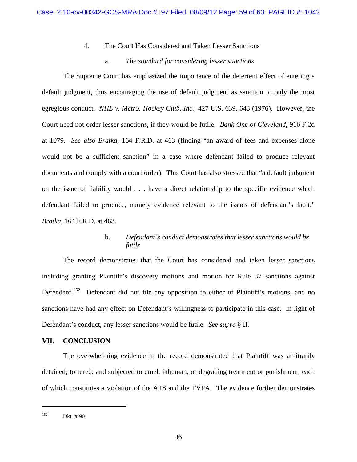### 4. The Court Has Considered and Taken Lesser Sanctions

### a. *The standard for considering lesser sanctions*

The Supreme Court has emphasized the importance of the deterrent effect of entering a default judgment, thus encouraging the use of default judgment as sanction to only the most egregious conduct. *NHL v. Metro. Hockey Club, Inc.,* 427 U.S. 639, 643 (1976). However, the Court need not order lesser sanctions, if they would be futile. *Bank One of Cleveland,* 916 F.2d at 1079. *See also Bratka,* 164 F.R.D. at 463 (finding "an award of fees and expenses alone would not be a sufficient sanction" in a case where defendant failed to produce relevant documents and comply with a court order). This Court has also stressed that "a default judgment on the issue of liability would . . . have a direct relationship to the specific evidence which defendant failed to produce, namely evidence relevant to the issues of defendant's fault." *Bratka,* 164 F.R.D. at 463.

# b. *Defendant's conduct demonstrates that lesser sanctions would be futile*

The record demonstrates that the Court has considered and taken lesser sanctions including granting Plaintiff's discovery motions and motion for Rule 37 sanctions against Defendant.<sup>152</sup> Defendant did not file any opposition to either of Plaintiff's motions, and no sanctions have had any effect on Defendant's willingness to participate in this case. In light of Defendant's conduct, any lesser sanctions would be futile. *See supra* § II.

### **VII. CONCLUSION**

The overwhelming evidence in the record demonstrated that Plaintiff was arbitrarily detained; tortured; and subjected to cruel, inhuman, or degrading treatment or punishment, each of which constitutes a violation of the ATS and the TVPA. The evidence further demonstrates

<span id="page-58-0"></span> $152$  Dkt. #90.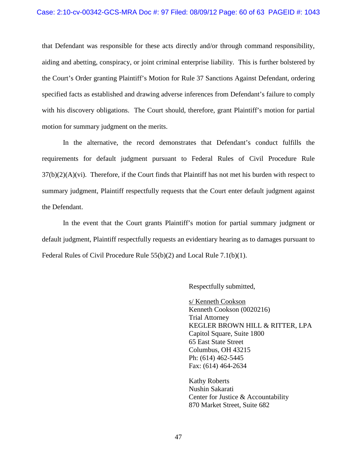that Defendant was responsible for these acts directly and/or through command responsibility, aiding and abetting, conspiracy, or joint criminal enterprise liability. This is further bolstered by the Court's Order granting Plaintiff's Motion for Rule 37 Sanctions Against Defendant, ordering specified facts as established and drawing adverse inferences from Defendant's failure to comply with his discovery obligations. The Court should, therefore, grant Plaintiff's motion for partial motion for summary judgment on the merits.

In the alternative, the record demonstrates that Defendant's conduct fulfills the requirements for default judgment pursuant to Federal Rules of Civil Procedure Rule  $37(b)(2)(A)(vi)$ . Therefore, if the Court finds that Plaintiff has not met his burden with respect to summary judgment, Plaintiff respectfully requests that the Court enter default judgment against the Defendant.

In the event that the Court grants Plaintiff's motion for partial summary judgment or default judgment, Plaintiff respectfully requests an evidentiary hearing as to damages pursuant to Federal Rules of Civil Procedure Rule 55(b)(2) and Local Rule 7.1(b)(1).

Respectfully submitted,

s/ Kenneth Cookson Kenneth Cookson (0020216) Trial Attorney KEGLER BROWN HILL & RITTER, LPA Capitol Square, Suite 1800 65 East State Street Columbus, OH 43215 Ph: (614) 462-5445 Fax: (614) 464-2634

Kathy Roberts Nushin Sakarati Center for Justice & Accountability 870 Market Street, Suite 682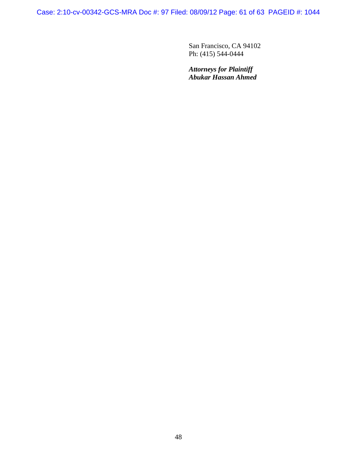Case: 2:10-cv-00342-GCS-MRA Doc #: 97 Filed: 08/09/12 Page: 61 of 63 PAGEID #: 1044

San Francisco, CA 94102 Ph: (415) 544-0444

*Attorneys for Plaintiff Abukar Hassan Ahmed*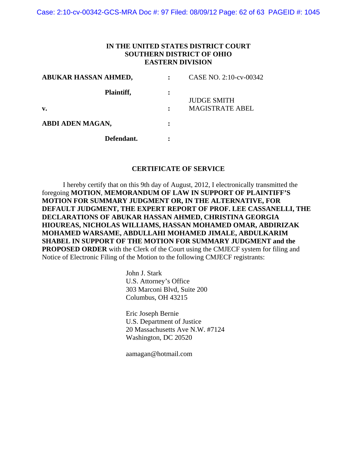Case: 2:10-cv-00342-GCS-MRA Doc #: 97 Filed: 08/09/12 Page: 62 of 63 PAGEID #: 1045

### **IN THE UNITED STATES DISTRICT COURT SOUTHERN DISTRICT OF OHIO EASTERN DIVISION**

| ABUKAR HASSAN AHMED, | CASE NO. 2:10-cv-00342 |
|----------------------|------------------------|
| Plaintiff,           | <b>JUDGE SMITH</b>     |
| v.                   | <b>MAGISTRATE ABEL</b> |
| ABDI ADEN MAGAN,     |                        |
| Defendant.           |                        |

#### **CERTIFICATE OF SERVICE**

 I hereby certify that on this 9th day of August, 2012, I electronically transmitted the foregoing **MOTION**, **MEMORANDUM OF LAW IN SUPPORT OF PLAINTIFF'S MOTION FOR SUMMARY JUDGMENT OR, IN THE ALTERNATIVE, FOR DEFAULT JUDGMENT, THE EXPERT REPORT OF PROF. LEE CASSANELLI, THE DECLARATIONS OF ABUKAR HASSAN AHMED, CHRISTINA GEORGIA HIOUREAS, NICHOLAS WILLIAMS, HASSAN MOHAMED OMAR, ABDIRIZAK MOHAMED WARSAME, ABDULLAHI MOHAMED JIMALE, ABDULKARIM SHABEL IN SUPPORT OF THE MOTION FOR SUMMARY JUDGMENT and the PROPOSED ORDER** with the Clerk of the Court using the CMJECF system for filing and Notice of Electronic Filing of the Motion to the following CMJECF registrants:

> John J. Stark U.S. Attorney's Office 303 Marconi Blvd, Suite 200 Columbus, OH 43215

Eric Joseph Bernie U.S. Department of Justice 20 Massachusetts Ave N.W. #7124 Washington, DC 20520

aamagan@hotmail.com